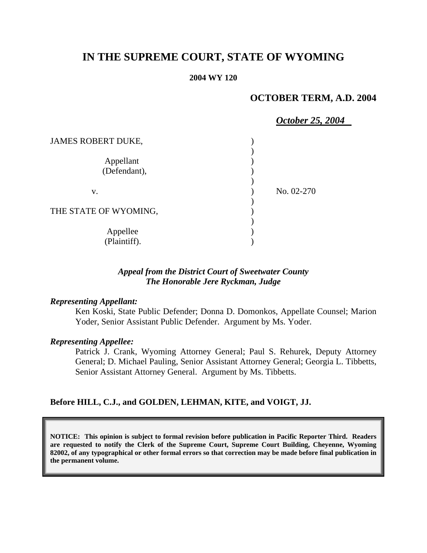# **IN THE SUPREME COURT, STATE OF WYOMING**

#### **2004 WY 120**

# **OCTOBER TERM, A.D. 2004**

|                           | October 25, 2004 |
|---------------------------|------------------|
| <b>JAMES ROBERT DUKE,</b> |                  |
| Appellant<br>(Defendant), |                  |
| V.                        | No. 02-270       |
| THE STATE OF WYOMING,     |                  |
| Appellee<br>(Plaintiff).  |                  |

#### *Appeal from the District Court of Sweetwater County The Honorable Jere Ryckman, Judge*

#### *Representing Appellant:*

Ken Koski, State Public Defender; Donna D. Domonkos, Appellate Counsel; Marion Yoder, Senior Assistant Public Defender. Argument by Ms. Yoder.

#### *Representing Appellee:*

Patrick J. Crank, Wyoming Attorney General; Paul S. Rehurek, Deputy Attorney General; D. Michael Pauling, Senior Assistant Attorney General; Georgia L. Tibbetts, Senior Assistant Attorney General. Argument by Ms. Tibbetts.

#### **Before HILL, C.J., and GOLDEN, LEHMAN, KITE, and VOIGT, JJ.**

**NOTICE: This opinion is subject to formal revision before publication in Pacific Reporter Third. Readers are requested to notify the Clerk of the Supreme Court, Supreme Court Building, Cheyenne, Wyoming 82002, of any typographical or other formal errors so that correction may be made before final publication in the permanent volume.**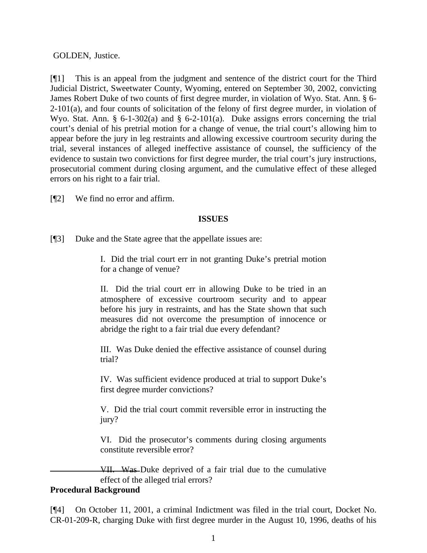#### GOLDEN, Justice.

[¶1] This is an appeal from the judgment and sentence of the district court for the Third Judicial District, Sweetwater County, Wyoming, entered on September 30, 2002, convicting James Robert Duke of two counts of first degree murder, in violation of Wyo. Stat. Ann. § 6-  $2-101(a)$ , and four counts of solicitation of the felony of first degree murder, in violation of Wyo. Stat. Ann. § 6-1-302(a) and § 6-2-101(a). Duke assigns errors concerning the trial court's denial of his pretrial motion for a change of venue, the trial court's allowing him to appear before the jury in leg restraints and allowing excessive courtroom security during the trial, several instances of alleged ineffective assistance of counsel, the sufficiency of the evidence to sustain two convictions for first degree murder, the trial court's jury instructions, prosecutorial comment during closing argument, and the cumulative effect of these alleged errors on his right to a fair trial.

[¶2] We find no error and affirm.

#### **ISSUES**

[¶3] Duke and the State agree that the appellate issues are:

I. Did the trial court err in not granting Duke's pretrial motion for a change of venue?

II. Did the trial court err in allowing Duke to be tried in an atmosphere of excessive courtroom security and to appear before his jury in restraints, and has the State shown that such measures did not overcome the presumption of innocence or abridge the right to a fair trial due every defendant?

III. Was Duke denied the effective assistance of counsel during trial?

IV. Was sufficient evidence produced at trial to support Duke's first degree murder convictions?

V. Did the trial court commit reversible error in instructing the jury?

VI. Did the prosecutor's comments during closing arguments constitute reversible error?

VII. Was Duke deprived of a fair trial due to the cumulative effect of the alleged trial errors?

# **Procedural Background**

[¶4] On October 11, 2001, a criminal Indictment was filed in the trial court, Docket No. CR-01-209-R, charging Duke with first degree murder in the August 10, 1996, deaths of his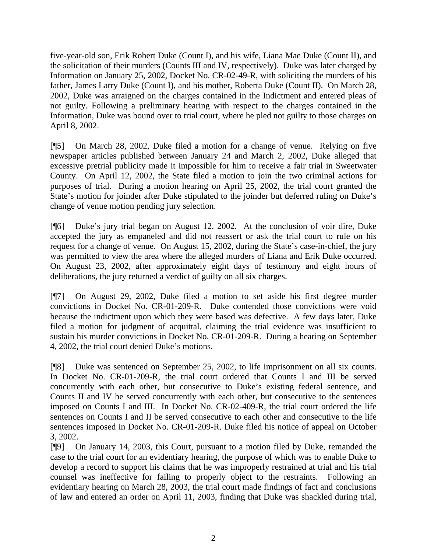five-year-old son, Erik Robert Duke (Count I), and his wife, Liana Mae Duke (Count II), and the solicitation of their murders (Counts III and IV, respectively). Duke was later charged by Information on January 25, 2002, Docket No. CR-02-49-R, with soliciting the murders of his father, James Larry Duke (Count I), and his mother, Roberta Duke (Count II). On March 28, 2002, Duke was arraigned on the charges contained in the Indictment and entered pleas of not guilty. Following a preliminary hearing with respect to the charges contained in the Information, Duke was bound over to trial court, where he pled not guilty to those charges on April 8, 2002.

[¶5] On March 28, 2002, Duke filed a motion for a change of venue. Relying on five newspaper articles published between January 24 and March 2, 2002, Duke alleged that excessive pretrial publicity made it impossible for him to receive a fair trial in Sweetwater County. On April 12, 2002, the State filed a motion to join the two criminal actions for purposes of trial. During a motion hearing on April 25, 2002, the trial court granted the State's motion for joinder after Duke stipulated to the joinder but deferred ruling on Duke's change of venue motion pending jury selection.

[¶6] Duke's jury trial began on August 12, 2002. At the conclusion of voir dire, Duke accepted the jury as empaneled and did not reassert or ask the trial court to rule on his request for a change of venue. On August 15, 2002, during the State's case-in-chief, the jury was permitted to view the area where the alleged murders of Liana and Erik Duke occurred. On August 23, 2002, after approximately eight days of testimony and eight hours of deliberations, the jury returned a verdict of guilty on all six charges.

[¶7] On August 29, 2002, Duke filed a motion to set aside his first degree murder convictions in Docket No. CR-01-209-R. Duke contended those convictions were void because the indictment upon which they were based was defective. A few days later, Duke filed a motion for judgment of acquittal, claiming the trial evidence was insufficient to sustain his murder convictions in Docket No. CR-01-209-R. During a hearing on September 4, 2002, the trial court denied Duke's motions.

[¶8] Duke was sentenced on September 25, 2002, to life imprisonment on all six counts. In Docket No. CR-01-209-R, the trial court ordered that Counts I and III be served concurrently with each other, but consecutive to Duke's existing federal sentence, and Counts II and IV be served concurrently with each other, but consecutive to the sentences imposed on Counts I and III. In Docket No. CR-02-409-R, the trial court ordered the life sentences on Counts I and II be served consecutive to each other and consecutive to the life sentences imposed in Docket No. CR-01-209-R. Duke filed his notice of appeal on October 3, 2002.

[¶9] On January 14, 2003, this Court, pursuant to a motion filed by Duke, remanded the case to the trial court for an evidentiary hearing, the purpose of which was to enable Duke to develop a record to support his claims that he was improperly restrained at trial and his trial counsel was ineffective for failing to properly object to the restraints. Following an evidentiary hearing on March 28, 2003, the trial court made findings of fact and conclusions of law and entered an order on April 11, 2003, finding that Duke was shackled during trial,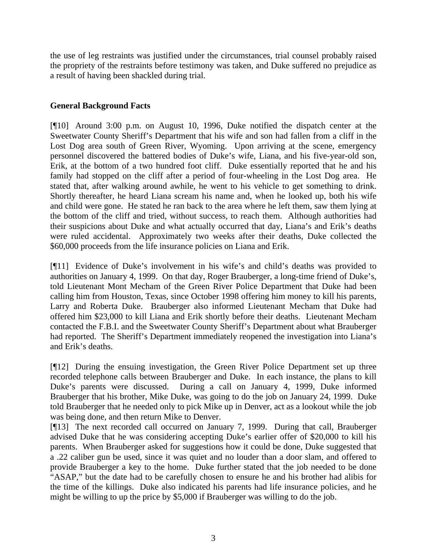the use of leg restraints was justified under the circumstances, trial counsel probably raised the propriety of the restraints before testimony was taken, and Duke suffered no prejudice as a result of having been shackled during trial.

# **General Background Facts**

[¶10] Around 3:00 p.m. on August 10, 1996, Duke notified the dispatch center at the Sweetwater County Sheriff's Department that his wife and son had fallen from a cliff in the Lost Dog area south of Green River, Wyoming. Upon arriving at the scene, emergency personnel discovered the battered bodies of Duke's wife, Liana, and his five-year-old son, Erik, at the bottom of a two hundred foot cliff. Duke essentially reported that he and his family had stopped on the cliff after a period of four-wheeling in the Lost Dog area. He stated that, after walking around awhile, he went to his vehicle to get something to drink. Shortly thereafter, he heard Liana scream his name and, when he looked up, both his wife and child were gone. He stated he ran back to the area where he left them, saw them lying at the bottom of the cliff and tried, without success, to reach them. Although authorities had their suspicions about Duke and what actually occurred that day, Liana's and Erik's deaths were ruled accidental. Approximately two weeks after their deaths, Duke collected the \$60,000 proceeds from the life insurance policies on Liana and Erik.

[¶11] Evidence of Duke's involvement in his wife's and child's deaths was provided to authorities on January 4, 1999. On that day, Roger Brauberger, a long-time friend of Duke's, told Lieutenant Mont Mecham of the Green River Police Department that Duke had been calling him from Houston, Texas, since October 1998 offering him money to kill his parents, Larry and Roberta Duke. Brauberger also informed Lieutenant Mecham that Duke had offered him \$23,000 to kill Liana and Erik shortly before their deaths. Lieutenant Mecham contacted the F.B.I. and the Sweetwater County Sheriff's Department about what Brauberger had reported. The Sheriff's Department immediately reopened the investigation into Liana's and Erik's deaths.

[¶12] During the ensuing investigation, the Green River Police Department set up three recorded telephone calls between Brauberger and Duke. In each instance, the plans to kill Duke's parents were discussed. During a call on January 4, 1999, Duke informed Brauberger that his brother, Mike Duke, was going to do the job on January 24, 1999. Duke told Brauberger that he needed only to pick Mike up in Denver, act as a lookout while the job was being done, and then return Mike to Denver.

[¶13] The next recorded call occurred on January 7, 1999. During that call, Brauberger advised Duke that he was considering accepting Duke's earlier offer of \$20,000 to kill his parents. When Brauberger asked for suggestions how it could be done, Duke suggested that a .22 caliber gun be used, since it was quiet and no louder than a door slam, and offered to provide Brauberger a key to the home. Duke further stated that the job needed to be done "ASAP," but the date had to be carefully chosen to ensure he and his brother had alibis for the time of the killings. Duke also indicated his parents had life insurance policies, and he might be willing to up the price by \$5,000 if Brauberger was willing to do the job.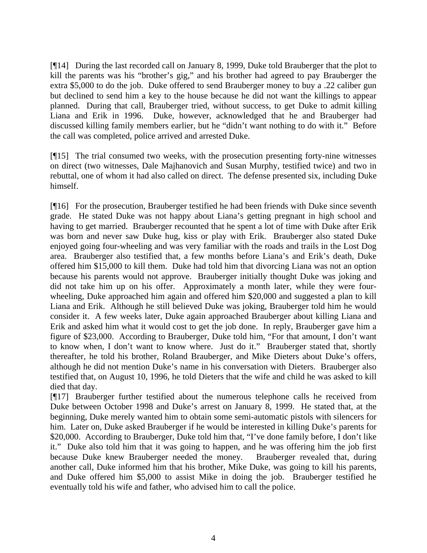[¶14] During the last recorded call on January 8, 1999, Duke told Brauberger that the plot to kill the parents was his "brother's gig," and his brother had agreed to pay Brauberger the extra \$5,000 to do the job. Duke offered to send Brauberger money to buy a .22 caliber gun but declined to send him a key to the house because he did not want the killings to appear planned. During that call, Brauberger tried, without success, to get Duke to admit killing Liana and Erik in 1996. Duke, however, acknowledged that he and Brauberger had discussed killing family members earlier, but he "didn't want nothing to do with it." Before the call was completed, police arrived and arrested Duke.

[¶15] The trial consumed two weeks, with the prosecution presenting forty-nine witnesses on direct (two witnesses, Dale Majhanovich and Susan Murphy, testified twice) and two in rebuttal, one of whom it had also called on direct. The defense presented six, including Duke himself.

[¶16] For the prosecution, Brauberger testified he had been friends with Duke since seventh grade. He stated Duke was not happy about Liana's getting pregnant in high school and having to get married. Brauberger recounted that he spent a lot of time with Duke after Erik was born and never saw Duke hug, kiss or play with Erik. Brauberger also stated Duke enjoyed going four-wheeling and was very familiar with the roads and trails in the Lost Dog area. Brauberger also testified that, a few months before Liana's and Erik's death, Duke offered him \$15,000 to kill them. Duke had told him that divorcing Liana was not an option because his parents would not approve. Brauberger initially thought Duke was joking and did not take him up on his offer. Approximately a month later, while they were fourwheeling, Duke approached him again and offered him \$20,000 and suggested a plan to kill Liana and Erik. Although he still believed Duke was joking, Brauberger told him he would consider it. A few weeks later, Duke again approached Brauberger about killing Liana and Erik and asked him what it would cost to get the job done. In reply, Brauberger gave him a figure of \$23,000. According to Brauberger, Duke told him, "For that amount, I don't want to know when, I don't want to know where. Just do it." Brauberger stated that, shortly thereafter, he told his brother, Roland Brauberger, and Mike Dieters about Duke's offers, although he did not mention Duke's name in his conversation with Dieters. Brauberger also testified that, on August 10, 1996, he told Dieters that the wife and child he was asked to kill died that day.

[¶17] Brauberger further testified about the numerous telephone calls he received from Duke between October 1998 and Duke's arrest on January 8, 1999. He stated that, at the beginning, Duke merely wanted him to obtain some semi-automatic pistols with silencers for him. Later on, Duke asked Brauberger if he would be interested in killing Duke's parents for \$20,000. According to Brauberger, Duke told him that, "I've done family before, I don't like it." Duke also told him that it was going to happen, and he was offering him the job first because Duke knew Brauberger needed the money. Brauberger revealed that, during another call, Duke informed him that his brother, Mike Duke, was going to kill his parents, and Duke offered him \$5,000 to assist Mike in doing the job. Brauberger testified he eventually told his wife and father, who advised him to call the police.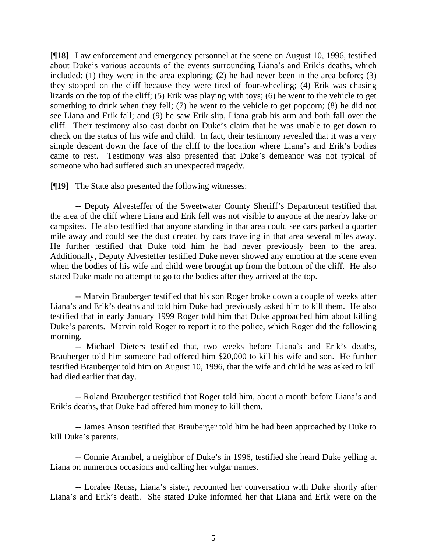[¶18] Law enforcement and emergency personnel at the scene on August 10, 1996, testified about Duke's various accounts of the events surrounding Liana's and Erik's deaths, which included: (1) they were in the area exploring; (2) he had never been in the area before; (3) they stopped on the cliff because they were tired of four-wheeling; (4) Erik was chasing lizards on the top of the cliff; (5) Erik was playing with toys; (6) he went to the vehicle to get something to drink when they fell; (7) he went to the vehicle to get popcorn; (8) he did not see Liana and Erik fall; and (9) he saw Erik slip, Liana grab his arm and both fall over the cliff. Their testimony also cast doubt on Duke's claim that he was unable to get down to check on the status of his wife and child. In fact, their testimony revealed that it was a very simple descent down the face of the cliff to the location where Liana's and Erik's bodies came to rest. Testimony was also presented that Duke's demeanor was not typical of someone who had suffered such an unexpected tragedy.

[¶19] The State also presented the following witnesses:

-- Deputy Alvesteffer of the Sweetwater County Sheriff's Department testified that the area of the cliff where Liana and Erik fell was not visible to anyone at the nearby lake or campsites. He also testified that anyone standing in that area could see cars parked a quarter mile away and could see the dust created by cars traveling in that area several miles away. He further testified that Duke told him he had never previously been to the area. Additionally, Deputy Alvesteffer testified Duke never showed any emotion at the scene even when the bodies of his wife and child were brought up from the bottom of the cliff. He also stated Duke made no attempt to go to the bodies after they arrived at the top.

-- Marvin Brauberger testified that his son Roger broke down a couple of weeks after Liana's and Erik's deaths and told him Duke had previously asked him to kill them. He also testified that in early January 1999 Roger told him that Duke approached him about killing Duke's parents. Marvin told Roger to report it to the police, which Roger did the following morning.

-- Michael Dieters testified that, two weeks before Liana's and Erik's deaths, Brauberger told him someone had offered him \$20,000 to kill his wife and son. He further testified Brauberger told him on August 10, 1996, that the wife and child he was asked to kill had died earlier that day.

-- Roland Brauberger testified that Roger told him, about a month before Liana's and Erik's deaths, that Duke had offered him money to kill them.

-- James Anson testified that Brauberger told him he had been approached by Duke to kill Duke's parents.

-- Connie Arambel, a neighbor of Duke's in 1996, testified she heard Duke yelling at Liana on numerous occasions and calling her vulgar names.

-- Loralee Reuss, Liana's sister, recounted her conversation with Duke shortly after Liana's and Erik's death. She stated Duke informed her that Liana and Erik were on the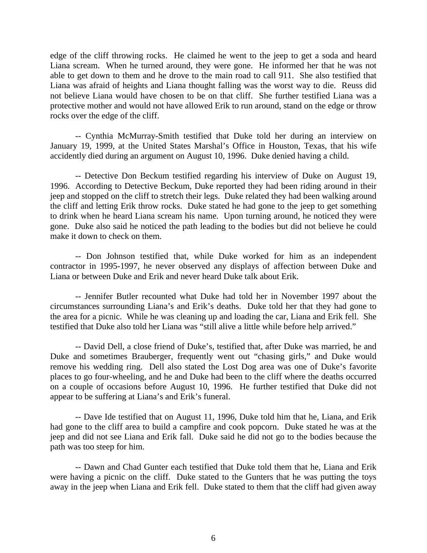edge of the cliff throwing rocks. He claimed he went to the jeep to get a soda and heard Liana scream. When he turned around, they were gone. He informed her that he was not able to get down to them and he drove to the main road to call 911. She also testified that Liana was afraid of heights and Liana thought falling was the worst way to die. Reuss did not believe Liana would have chosen to be on that cliff. She further testified Liana was a protective mother and would not have allowed Erik to run around, stand on the edge or throw rocks over the edge of the cliff.

-- Cynthia McMurray-Smith testified that Duke told her during an interview on January 19, 1999, at the United States Marshal's Office in Houston, Texas, that his wife accidently died during an argument on August 10, 1996. Duke denied having a child.

-- Detective Don Beckum testified regarding his interview of Duke on August 19, 1996. According to Detective Beckum, Duke reported they had been riding around in their jeep and stopped on the cliff to stretch their legs. Duke related they had been walking around the cliff and letting Erik throw rocks. Duke stated he had gone to the jeep to get something to drink when he heard Liana scream his name. Upon turning around, he noticed they were gone. Duke also said he noticed the path leading to the bodies but did not believe he could make it down to check on them.

-- Don Johnson testified that, while Duke worked for him as an independent contractor in 1995-1997, he never observed any displays of affection between Duke and Liana or between Duke and Erik and never heard Duke talk about Erik.

-- Jennifer Butler recounted what Duke had told her in November 1997 about the circumstances surrounding Liana's and Erik's deaths. Duke told her that they had gone to the area for a picnic. While he was cleaning up and loading the car, Liana and Erik fell. She testified that Duke also told her Liana was "still alive a little while before help arrived."

-- David Dell, a close friend of Duke's, testified that, after Duke was married, he and Duke and sometimes Brauberger, frequently went out "chasing girls," and Duke would remove his wedding ring. Dell also stated the Lost Dog area was one of Duke's favorite places to go four-wheeling, and he and Duke had been to the cliff where the deaths occurred on a couple of occasions before August 10, 1996. He further testified that Duke did not appear to be suffering at Liana's and Erik's funeral.

-- Dave Ide testified that on August 11, 1996, Duke told him that he, Liana, and Erik had gone to the cliff area to build a campfire and cook popcorn. Duke stated he was at the jeep and did not see Liana and Erik fall. Duke said he did not go to the bodies because the path was too steep for him.

-- Dawn and Chad Gunter each testified that Duke told them that he, Liana and Erik were having a picnic on the cliff. Duke stated to the Gunters that he was putting the toys away in the jeep when Liana and Erik fell. Duke stated to them that the cliff had given away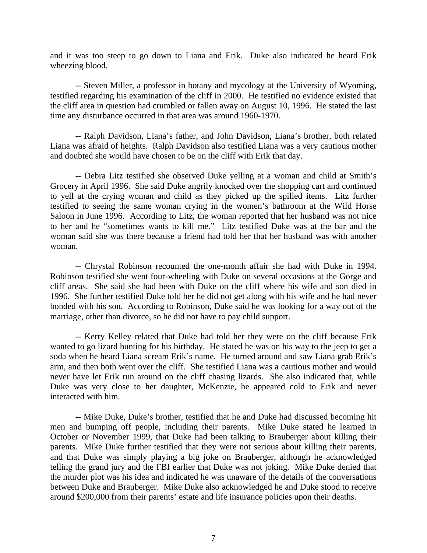and it was too steep to go down to Liana and Erik. Duke also indicated he heard Erik wheezing blood.

-- Steven Miller, a professor in botany and mycology at the University of Wyoming, testified regarding his examination of the cliff in 2000. He testified no evidence existed that the cliff area in question had crumbled or fallen away on August 10, 1996. He stated the last time any disturbance occurred in that area was around 1960-1970.

-- Ralph Davidson, Liana's father, and John Davidson, Liana's brother, both related Liana was afraid of heights. Ralph Davidson also testified Liana was a very cautious mother and doubted she would have chosen to be on the cliff with Erik that day.

-- Debra Litz testified she observed Duke yelling at a woman and child at Smith's Grocery in April 1996. She said Duke angrily knocked over the shopping cart and continued to yell at the crying woman and child as they picked up the spilled items. Litz further testified to seeing the same woman crying in the women's bathroom at the Wild Horse Saloon in June 1996. According to Litz, the woman reported that her husband was not nice to her and he "sometimes wants to kill me." Litz testified Duke was at the bar and the woman said she was there because a friend had told her that her husband was with another woman.

-- Chrystal Robinson recounted the one-month affair she had with Duke in 1994. Robinson testified she went four-wheeling with Duke on several occasions at the Gorge and cliff areas. She said she had been with Duke on the cliff where his wife and son died in 1996. She further testified Duke told her he did not get along with his wife and he had never bonded with his son. According to Robinson, Duke said he was looking for a way out of the marriage, other than divorce, so he did not have to pay child support.

-- Kerry Kelley related that Duke had told her they were on the cliff because Erik wanted to go lizard hunting for his birthday. He stated he was on his way to the jeep to get a soda when he heard Liana scream Erik's name. He turned around and saw Liana grab Erik's arm, and then both went over the cliff. She testified Liana was a cautious mother and would never have let Erik run around on the cliff chasing lizards. She also indicated that, while Duke was very close to her daughter, McKenzie, he appeared cold to Erik and never interacted with him.

-- Mike Duke, Duke's brother, testified that he and Duke had discussed becoming hit men and bumping off people, including their parents. Mike Duke stated he learned in October or November 1999, that Duke had been talking to Brauberger about killing their parents. Mike Duke further testified that they were not serious about killing their parents, and that Duke was simply playing a big joke on Brauberger, although he acknowledged telling the grand jury and the FBI earlier that Duke was not joking. Mike Duke denied that the murder plot was his idea and indicated he was unaware of the details of the conversations between Duke and Brauberger. Mike Duke also acknowledged he and Duke stood to receive around \$200,000 from their parents' estate and life insurance policies upon their deaths.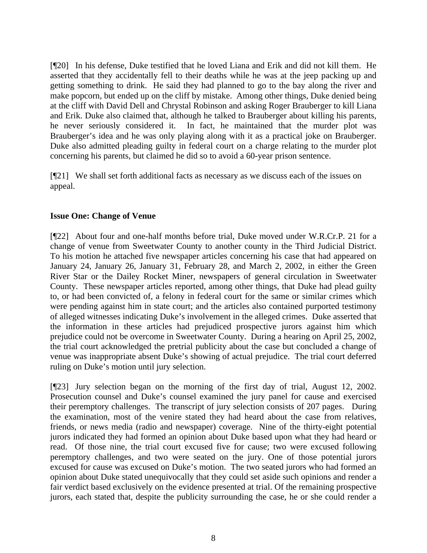[¶20] In his defense, Duke testified that he loved Liana and Erik and did not kill them. He asserted that they accidentally fell to their deaths while he was at the jeep packing up and getting something to drink. He said they had planned to go to the bay along the river and make popcorn, but ended up on the cliff by mistake. Among other things, Duke denied being at the cliff with David Dell and Chrystal Robinson and asking Roger Brauberger to kill Liana and Erik. Duke also claimed that, although he talked to Brauberger about killing his parents, he never seriously considered it. In fact, he maintained that the murder plot was Brauberger's idea and he was only playing along with it as a practical joke on Brauberger. Duke also admitted pleading guilty in federal court on a charge relating to the murder plot concerning his parents, but claimed he did so to avoid a 60-year prison sentence.

[¶21] We shall set forth additional facts as necessary as we discuss each of the issues on appeal.

# **Issue One: Change of Venue**

[¶22] About four and one-half months before trial, Duke moved under W.R.Cr.P. 21 for a change of venue from Sweetwater County to another county in the Third Judicial District. To his motion he attached five newspaper articles concerning his case that had appeared on January 24, January 26, January 31, February 28, and March 2, 2002, in either the Green River Star or the Dailey Rocket Miner, newspapers of general circulation in Sweetwater County. These newspaper articles reported, among other things, that Duke had plead guilty to, or had been convicted of, a felony in federal court for the same or similar crimes which were pending against him in state court; and the articles also contained purported testimony of alleged witnesses indicating Duke's involvement in the alleged crimes. Duke asserted that the information in these articles had prejudiced prospective jurors against him which prejudice could not be overcome in Sweetwater County. During a hearing on April 25, 2002, the trial court acknowledged the pretrial publicity about the case but concluded a change of venue was inappropriate absent Duke's showing of actual prejudice. The trial court deferred ruling on Duke's motion until jury selection.

[¶23] Jury selection began on the morning of the first day of trial, August 12, 2002. Prosecution counsel and Duke's counsel examined the jury panel for cause and exercised their peremptory challenges. The transcript of jury selection consists of 207 pages. During the examination, most of the venire stated they had heard about the case from relatives, friends, or news media (radio and newspaper) coverage. Nine of the thirty-eight potential jurors indicated they had formed an opinion about Duke based upon what they had heard or read. Of those nine, the trial court excused five for cause; two were excused following peremptory challenges, and two were seated on the jury. One of those potential jurors excused for cause was excused on Duke's motion. The two seated jurors who had formed an opinion about Duke stated unequivocally that they could set aside such opinions and render a fair verdict based exclusively on the evidence presented at trial. Of the remaining prospective jurors, each stated that, despite the publicity surrounding the case, he or she could render a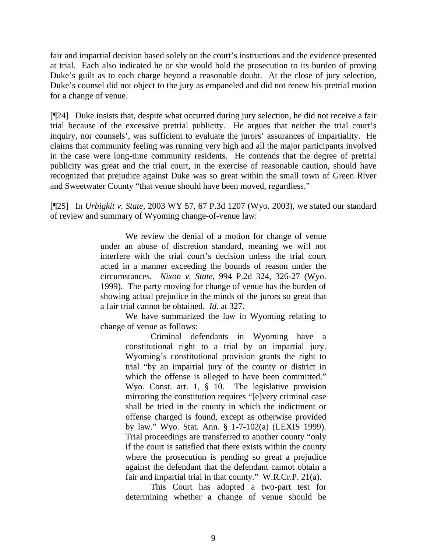fair and impartial decision based solely on the court's instructions and the evidence presented at trial. Each also indicated he or she would hold the prosecution to its burden of proving Duke's guilt as to each charge beyond a reasonable doubt. At the close of jury selection, Duke's counsel did not object to the jury as empaneled and did not renew his pretrial motion for a change of venue.

[¶24] Duke insists that, despite what occurred during jury selection, he did not receive a fair trial because of the excessive pretrial publicity. He argues that neither the trial court's inquiry, nor counsels', was sufficient to evaluate the jurors' assurances of impartiality. He claims that community feeling was running very high and all the major participants involved in the case were long-time community residents. He contends that the degree of pretrial publicity was great and the trial court, in the exercise of reasonable caution, should have recognized that prejudice against Duke was so great within the small town of Green River and Sweetwater County "that venue should have been moved, regardless."

[¶25] In *Urbigkit v. State*, 2003 WY 57, 67 P.3d 1207 (Wyo. 2003), we stated our standard of review and summary of Wyoming change-of-venue law:

> We review the denial of a motion for change of venue under an abuse of discretion standard, meaning we will not interfere with the trial court's decision unless the trial court acted in a manner exceeding the bounds of reason under the circumstances. *Nixon v. State*, 994 P.2d 324, 326-27 (Wyo. 1999). The party moving for change of venue has the burden of showing actual prejudice in the minds of the jurors so great that a fair trial cannot be obtained. *Id*. at 327.

> We have summarized the law in Wyoming relating to change of venue as follows:

> > Criminal defendants in Wyoming have a constitutional right to a trial by an impartial jury. Wyoming's constitutional provision grants the right to trial "by an impartial jury of the county or district in which the offense is alleged to have been committed." Wyo. Const. art. 1, § 10. The legislative provision mirroring the constitution requires "[e]very criminal case shall be tried in the county in which the indictment or offense charged is found, except as otherwise provided by law." Wyo. Stat. Ann. § 1-7-102(a) (LEXIS 1999). Trial proceedings are transferred to another county "only if the court is satisfied that there exists within the county where the prosecution is pending so great a prejudice against the defendant that the defendant cannot obtain a fair and impartial trial in that county." W.R.Cr.P. 21(a).

> > This Court has adopted a two-part test for determining whether a change of venue should be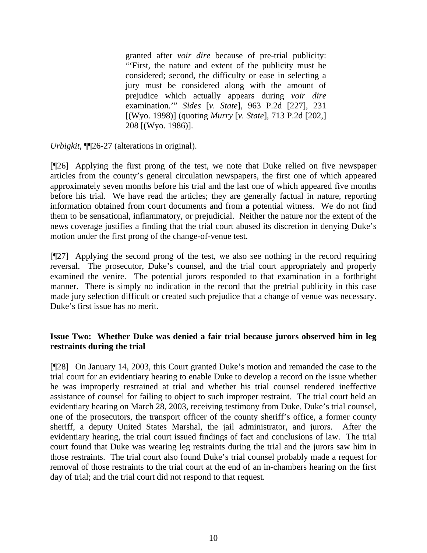granted after *voir dire* because of pre-trial publicity: "'First, the nature and extent of the publicity must be considered; second, the difficulty or ease in selecting a jury must be considered along with the amount of prejudice which actually appears during *voir dire*  examination.'" *Sides* [*v. State*], 963 P.2d [227], 231 [(Wyo. 1998)] (quoting *Murry* [*v. State*], 713 P.2d [202,] 208 [(Wyo. 1986)].

*Urbigkit*, ¶¶26-27 (alterations in original).

[¶26] Applying the first prong of the test, we note that Duke relied on five newspaper articles from the county's general circulation newspapers, the first one of which appeared approximately seven months before his trial and the last one of which appeared five months before his trial. We have read the articles; they are generally factual in nature, reporting information obtained from court documents and from a potential witness. We do not find them to be sensational, inflammatory, or prejudicial. Neither the nature nor the extent of the news coverage justifies a finding that the trial court abused its discretion in denying Duke's motion under the first prong of the change-of-venue test.

[¶27] Applying the second prong of the test, we also see nothing in the record requiring reversal. The prosecutor, Duke's counsel, and the trial court appropriately and properly examined the venire. The potential jurors responded to that examination in a forthright manner. There is simply no indication in the record that the pretrial publicity in this case made jury selection difficult or created such prejudice that a change of venue was necessary. Duke's first issue has no merit.

# **Issue Two: Whether Duke was denied a fair trial because jurors observed him in leg restraints during the trial**

[¶28] On January 14, 2003, this Court granted Duke's motion and remanded the case to the trial court for an evidentiary hearing to enable Duke to develop a record on the issue whether he was improperly restrained at trial and whether his trial counsel rendered ineffective assistance of counsel for failing to object to such improper restraint. The trial court held an evidentiary hearing on March 28, 2003, receiving testimony from Duke, Duke's trial counsel, one of the prosecutors, the transport officer of the county sheriff's office, a former county sheriff, a deputy United States Marshal, the jail administrator, and jurors. After the evidentiary hearing, the trial court issued findings of fact and conclusions of law. The trial court found that Duke was wearing leg restraints during the trial and the jurors saw him in those restraints. The trial court also found Duke's trial counsel probably made a request for removal of those restraints to the trial court at the end of an in-chambers hearing on the first day of trial; and the trial court did not respond to that request.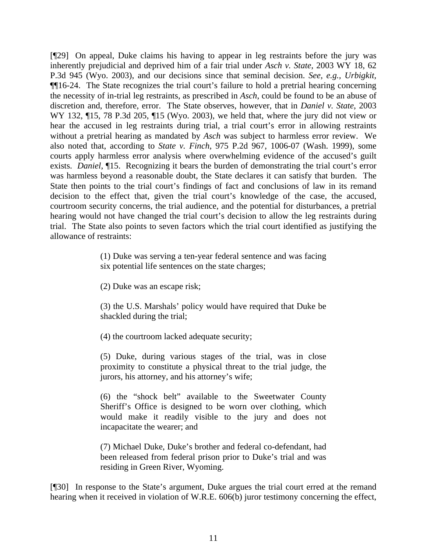[¶29] On appeal, Duke claims his having to appear in leg restraints before the jury was inherently prejudicial and deprived him of a fair trial under *Asch v. State*, 2003 WY 18, 62 P.3d 945 (Wyo. 2003), and our decisions since that seminal decision. *See, e.g., Urbigkit,* ¶¶16-24. The State recognizes the trial court's failure to hold a pretrial hearing concerning the necessity of in-trial leg restraints, as prescribed in *Asch*, could be found to be an abuse of discretion and, therefore, error. The State observes, however, that in *Daniel v. State*, 2003 WY 132, ¶15, 78 P.3d 205, ¶15 (Wyo. 2003), we held that, where the jury did not view or hear the accused in leg restraints during trial, a trial court's error in allowing restraints without a pretrial hearing as mandated by *Asch* was subject to harmless error review. We also noted that, according to *State v. Finch*, 975 P.2d 967, 1006-07 (Wash. 1999), some courts apply harmless error analysis where overwhelming evidence of the accused's guilt exists. *Daniel*, ¶15. Recognizing it bears the burden of demonstrating the trial court's error was harmless beyond a reasonable doubt, the State declares it can satisfy that burden. The State then points to the trial court's findings of fact and conclusions of law in its remand decision to the effect that, given the trial court's knowledge of the case, the accused, courtroom security concerns, the trial audience, and the potential for disturbances, a pretrial hearing would not have changed the trial court's decision to allow the leg restraints during trial. The State also points to seven factors which the trial court identified as justifying the allowance of restraints:

> (1) Duke was serving a ten-year federal sentence and was facing six potential life sentences on the state charges;

(2) Duke was an escape risk;

(3) the U.S. Marshals' policy would have required that Duke be shackled during the trial;

(4) the courtroom lacked adequate security;

(5) Duke, during various stages of the trial, was in close proximity to constitute a physical threat to the trial judge, the jurors, his attorney, and his attorney's wife;

(6) the "shock belt" available to the Sweetwater County Sheriff's Office is designed to be worn over clothing, which would make it readily visible to the jury and does not incapacitate the wearer; and

(7) Michael Duke, Duke's brother and federal co-defendant, had been released from federal prison prior to Duke's trial and was residing in Green River, Wyoming.

[¶30] In response to the State's argument, Duke argues the trial court erred at the remand hearing when it received in violation of W.R.E. 606(b) juror testimony concerning the effect,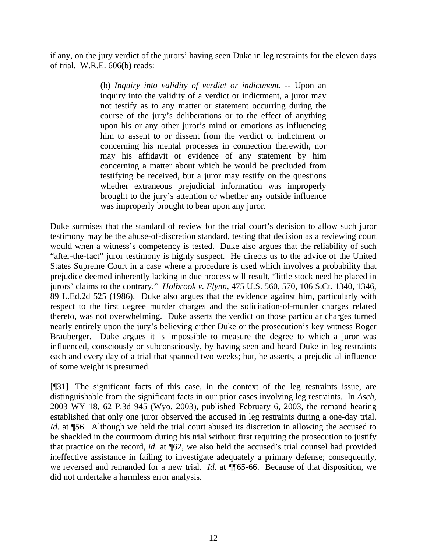if any, on the jury verdict of the jurors' having seen Duke in leg restraints for the eleven days of trial. W.R.E. 606(b) reads:

> (b) *Inquiry into validity of verdict or indictment*. -- Upon an inquiry into the validity of a verdict or indictment, a juror may not testify as to any matter or statement occurring during the course of the jury's deliberations or to the effect of anything upon his or any other juror's mind or emotions as influencing him to assent to or dissent from the verdict or indictment or concerning his mental processes in connection therewith, nor may his affidavit or evidence of any statement by him concerning a matter about which he would be precluded from testifying be received, but a juror may testify on the questions whether extraneous prejudicial information was improperly brought to the jury's attention or whether any outside influence was improperly brought to bear upon any juror.

Duke surmises that the standard of review for the trial court's decision to allow such juror testimony may be the abuse-of-discretion standard, testing that decision as a reviewing court would when a witness's competency is tested. Duke also argues that the reliability of such "after-the-fact" juror testimony is highly suspect. He directs us to the advice of the United States Supreme Court in a case where a procedure is used which involves a probability that prejudice deemed inherently lacking in due process will result, "little stock need be placed in jurors' claims to the contrary." *Holbrook v. Flynn*, 475 U.S. 560, 570, 106 S.Ct. 1340, 1346, 89 L.Ed.2d 525 (1986). Duke also argues that the evidence against him, particularly with respect to the first degree murder charges and the solicitation-of-murder charges related thereto, was not overwhelming. Duke asserts the verdict on those particular charges turned nearly entirely upon the jury's believing either Duke or the prosecution's key witness Roger Brauberger. Duke argues it is impossible to measure the degree to which a juror was influenced, consciously or subconsciously, by having seen and heard Duke in leg restraints each and every day of a trial that spanned two weeks; but, he asserts, a prejudicial influence of some weight is presumed.

[¶31] The significant facts of this case, in the context of the leg restraints issue, are distinguishable from the significant facts in our prior cases involving leg restraints. In *Asch*, 2003 WY 18, 62 P.3d 945 (Wyo. 2003), published February 6, 2003, the remand hearing established that only one juror observed the accused in leg restraints during a one-day trial. *Id.* at ¶56. Although we held the trial court abused its discretion in allowing the accused to be shackled in the courtroom during his trial without first requiring the prosecution to justify that practice on the record, *id.* at ¶62, we also held the accused's trial counsel had provided ineffective assistance in failing to investigate adequately a primary defense; consequently, we reversed and remanded for a new trial. *Id.* at  $\P$ 65-66. Because of that disposition, we did not undertake a harmless error analysis.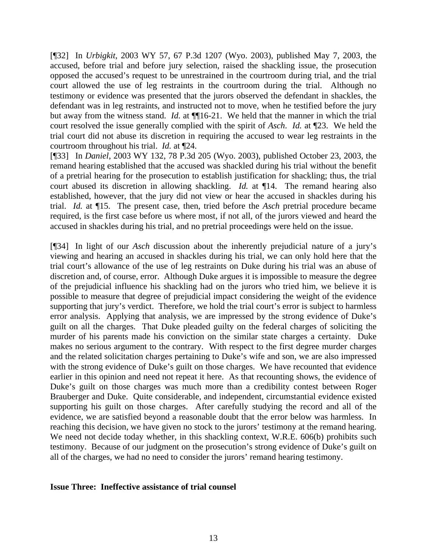[¶32] In *Urbigkit*, 2003 WY 57, 67 P.3d 1207 (Wyo. 2003), published May 7, 2003, the accused, before trial and before jury selection, raised the shackling issue, the prosecution opposed the accused's request to be unrestrained in the courtroom during trial, and the trial court allowed the use of leg restraints in the courtroom during the trial. Although no testimony or evidence was presented that the jurors observed the defendant in shackles, the defendant was in leg restraints, and instructed not to move, when he testified before the jury but away from the witness stand. *Id.* at ¶¶16-21. We held that the manner in which the trial court resolved the issue generally complied with the spirit of *Asch*. *Id.* at ¶23. We held the trial court did not abuse its discretion in requiring the accused to wear leg restraints in the courtroom throughout his trial. *Id.* at ¶24.

[¶33] In *Daniel*, 2003 WY 132, 78 P.3d 205 (Wyo. 2003), published October 23, 2003, the remand hearing established that the accused was shackled during his trial without the benefit of a pretrial hearing for the prosecution to establish justification for shackling; thus, the trial court abused its discretion in allowing shackling. *Id.* at ¶14. The remand hearing also established, however, that the jury did not view or hear the accused in shackles during his trial. *Id.* at ¶15. The present case, then, tried before the *Asch* pretrial procedure became required, is the first case before us where most, if not all, of the jurors viewed and heard the accused in shackles during his trial, and no pretrial proceedings were held on the issue.

[¶34] In light of our *Asch* discussion about the inherently prejudicial nature of a jury's viewing and hearing an accused in shackles during his trial, we can only hold here that the trial court's allowance of the use of leg restraints on Duke during his trial was an abuse of discretion and, of course, error. Although Duke argues it is impossible to measure the degree of the prejudicial influence his shackling had on the jurors who tried him, we believe it is possible to measure that degree of prejudicial impact considering the weight of the evidence supporting that jury's verdict. Therefore, we hold the trial court's error is subject to harmless error analysis. Applying that analysis, we are impressed by the strong evidence of Duke's guilt on all the charges. That Duke pleaded guilty on the federal charges of soliciting the murder of his parents made his conviction on the similar state charges a certainty. Duke makes no serious argument to the contrary. With respect to the first degree murder charges and the related solicitation charges pertaining to Duke's wife and son, we are also impressed with the strong evidence of Duke's guilt on those charges. We have recounted that evidence earlier in this opinion and need not repeat it here. As that recounting shows, the evidence of Duke's guilt on those charges was much more than a credibility contest between Roger Brauberger and Duke. Quite considerable, and independent, circumstantial evidence existed supporting his guilt on those charges. After carefully studying the record and all of the evidence, we are satisfied beyond a reasonable doubt that the error below was harmless. In reaching this decision, we have given no stock to the jurors' testimony at the remand hearing. We need not decide today whether, in this shackling context, W.R.E. 606(b) prohibits such testimony. Because of our judgment on the prosecution's strong evidence of Duke's guilt on all of the charges, we had no need to consider the jurors' remand hearing testimony.

#### **Issue Three: Ineffective assistance of trial counsel**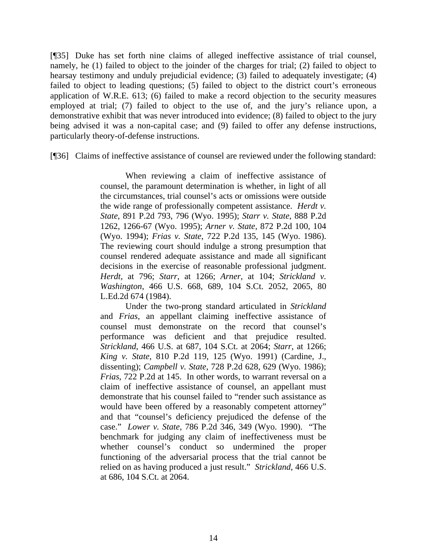[¶35] Duke has set forth nine claims of alleged ineffective assistance of trial counsel, namely, he (1) failed to object to the joinder of the charges for trial; (2) failed to object to hearsay testimony and unduly prejudicial evidence; (3) failed to adequately investigate; (4) failed to object to leading questions; (5) failed to object to the district court's erroneous application of W.R.E. 613; (6) failed to make a record objection to the security measures employed at trial; (7) failed to object to the use of, and the jury's reliance upon, a demonstrative exhibit that was never introduced into evidence; (8) failed to object to the jury being advised it was a non-capital case; and (9) failed to offer any defense instructions, particularly theory-of-defense instructions.

[¶36] Claims of ineffective assistance of counsel are reviewed under the following standard:

When reviewing a claim of ineffective assistance of counsel, the paramount determination is whether, in light of all the circumstances, trial counsel's acts or omissions were outside the wide range of professionally competent assistance. *Herdt v. State*, 891 P.2d 793, 796 (Wyo. 1995); *Starr v. State*, 888 P.2d 1262, 1266-67 (Wyo. 1995); *Arner v. State*, 872 P.2d 100, 104 (Wyo. 1994); *Frias v. State*, 722 P.2d 135, 145 (Wyo. 1986). The reviewing court should indulge a strong presumption that counsel rendered adequate assistance and made all significant decisions in the exercise of reasonable professional judgment. *Herdt*, at 796; *Starr*, at 1266; *Arner*, at 104; *Strickland v. Washington*, 466 U.S. 668, 689, 104 S.Ct. 2052, 2065, 80 L.Ed.2d 674 (1984).

Under the two-prong standard articulated in *Strickland* and *Frias*, an appellant claiming ineffective assistance of counsel must demonstrate on the record that counsel's performance was deficient and that prejudice resulted. *Strickland*, 466 U.S. at 687, 104 S.Ct. at 2064; *Starr*, at 1266; *King v. State*, 810 P.2d 119, 125 (Wyo. 1991) (Cardine, J., dissenting); *Campbell v. State*, 728 P.2d 628, 629 (Wyo. 1986); *Frias*, 722 P.2d at 145. In other words, to warrant reversal on a claim of ineffective assistance of counsel, an appellant must demonstrate that his counsel failed to "render such assistance as would have been offered by a reasonably competent attorney" and that "counsel's deficiency prejudiced the defense of the case." *Lower v. State*, 786 P.2d 346, 349 (Wyo. 1990). "The benchmark for judging any claim of ineffectiveness must be whether counsel's conduct so undermined the proper functioning of the adversarial process that the trial cannot be relied on as having produced a just result." *Strickland*, 466 U.S. at 686, 104 S.Ct. at 2064.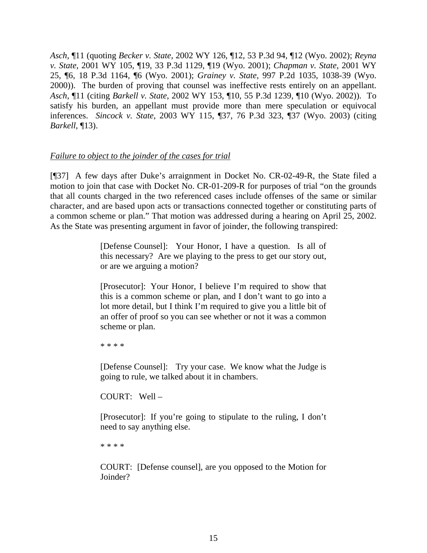*Asch*, ¶11 (quoting *Becker v. State*, 2002 WY 126, ¶12, 53 P.3d 94, ¶12 (Wyo. 2002); *Reyna v. State*, 2001 WY 105, ¶19, 33 P.3d 1129, ¶19 (Wyo. 2001); *Chapman v. State*, 2001 WY 25, ¶6, 18 P.3d 1164, ¶6 (Wyo. 2001); *Grainey v. State*, 997 P.2d 1035, 1038-39 (Wyo. 2000)). The burden of proving that counsel was ineffective rests entirely on an appellant. *Asch*, ¶11 (citing *Barkell v. State*, 2002 WY 153, ¶10, 55 P.3d 1239, ¶10 (Wyo. 2002)). To satisfy his burden, an appellant must provide more than mere speculation or equivocal inferences. *Sincock v. State*, 2003 WY 115, ¶37, 76 P.3d 323, ¶37 (Wyo. 2003) (citing *Barkell*, ¶13).

# *Failure to object to the joinder of the cases for trial*

[¶37] A few days after Duke's arraignment in Docket No. CR-02-49-R, the State filed a motion to join that case with Docket No. CR-01-209-R for purposes of trial "on the grounds that all counts charged in the two referenced cases include offenses of the same or similar character, and are based upon acts or transactions connected together or constituting parts of a common scheme or plan." That motion was addressed during a hearing on April 25, 2002. As the State was presenting argument in favor of joinder, the following transpired:

> [Defense Counsel]: Your Honor, I have a question. Is all of this necessary? Are we playing to the press to get our story out, or are we arguing a motion?

> [Prosecutor]: Your Honor, I believe I'm required to show that this is a common scheme or plan, and I don't want to go into a lot more detail, but I think I'm required to give you a little bit of an offer of proof so you can see whether or not it was a common scheme or plan.

\* \* \* \*

[Defense Counsel]: Try your case. We know what the Judge is going to rule, we talked about it in chambers.

COURT: Well –

[Prosecutor]: If you're going to stipulate to the ruling, I don't need to say anything else.

\* \* \* \*

COURT: [Defense counsel], are you opposed to the Motion for Joinder?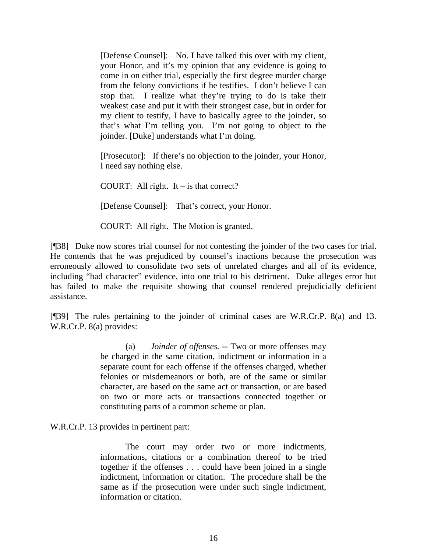[Defense Counsel]: No. I have talked this over with my client, your Honor, and it's my opinion that any evidence is going to come in on either trial, especially the first degree murder charge from the felony convictions if he testifies. I don't believe I can stop that. I realize what they're trying to do is take their weakest case and put it with their strongest case, but in order for my client to testify, I have to basically agree to the joinder, so that's what I'm telling you. I'm not going to object to the joinder. [Duke] understands what I'm doing.

[Prosecutor]: If there's no objection to the joinder, your Honor, I need say nothing else.

COURT: All right. It – is that correct?

[Defense Counsel]: That's correct, your Honor.

COURT: All right. The Motion is granted.

[¶38] Duke now scores trial counsel for not contesting the joinder of the two cases for trial. He contends that he was prejudiced by counsel's inactions because the prosecution was erroneously allowed to consolidate two sets of unrelated charges and all of its evidence, including "bad character" evidence, into one trial to his detriment. Duke alleges error but has failed to make the requisite showing that counsel rendered prejudicially deficient assistance.

[¶39] The rules pertaining to the joinder of criminal cases are W.R.Cr.P. 8(a) and 13. W.R.Cr.P. 8(a) provides:

> (a) *Joinder of offenses.* -- Two or more offenses may be charged in the same citation, indictment or information in a separate count for each offense if the offenses charged, whether felonies or misdemeanors or both, are of the same or similar character, are based on the same act or transaction, or are based on two or more acts or transactions connected together or constituting parts of a common scheme or plan.

W.R.Cr.P. 13 provides in pertinent part:

The court may order two or more indictments, informations, citations or a combination thereof to be tried together if the offenses . . . could have been joined in a single indictment, information or citation. The procedure shall be the same as if the prosecution were under such single indictment, information or citation.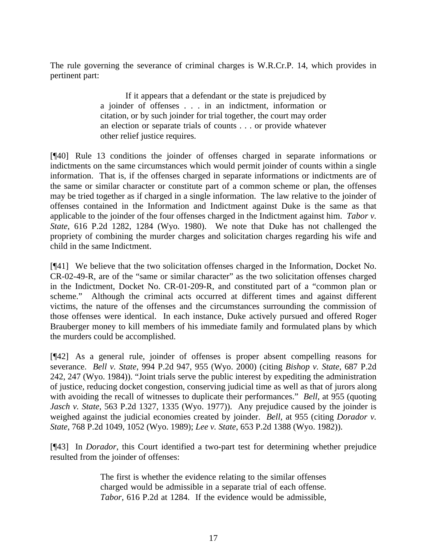The rule governing the severance of criminal charges is W.R.Cr.P. 14, which provides in pertinent part:

> If it appears that a defendant or the state is prejudiced by a joinder of offenses . . . in an indictment, information or citation, or by such joinder for trial together, the court may order an election or separate trials of counts . . . or provide whatever other relief justice requires.

[¶40] Rule 13 conditions the joinder of offenses charged in separate informations or indictments on the same circumstances which would permit joinder of counts within a single information. That is, if the offenses charged in separate informations or indictments are of the same or similar character or constitute part of a common scheme or plan, the offenses may be tried together as if charged in a single information. The law relative to the joinder of offenses contained in the Information and Indictment against Duke is the same as that applicable to the joinder of the four offenses charged in the Indictment against him. *Tabor v. State*, 616 P.2d 1282, 1284 (Wyo. 1980). We note that Duke has not challenged the propriety of combining the murder charges and solicitation charges regarding his wife and child in the same Indictment.

[¶41] We believe that the two solicitation offenses charged in the Information, Docket No. CR-02-49-R, are of the "same or similar character" as the two solicitation offenses charged in the Indictment, Docket No. CR-01-209-R, and constituted part of a "common plan or scheme." Although the criminal acts occurred at different times and against different victims, the nature of the offenses and the circumstances surrounding the commission of those offenses were identical. In each instance, Duke actively pursued and offered Roger Brauberger money to kill members of his immediate family and formulated plans by which the murders could be accomplished.

[¶42] As a general rule, joinder of offenses is proper absent compelling reasons for severance. *Bell v. State*, 994 P.2d 947, 955 (Wyo. 2000) (citing *Bishop v. State*, 687 P.2d 242, 247 (Wyo. 1984)). "Joint trials serve the public interest by expediting the administration of justice, reducing docket congestion, conserving judicial time as well as that of jurors along with avoiding the recall of witnesses to duplicate their performances." *Bell*, at 955 (quoting *Jasch v. State*, 563 P.2d 1327, 1335 (Wyo. 1977)). Any prejudice caused by the joinder is weighed against the judicial economies created by joinder. *Bell*, at 955 (citing *Dorador v. State*, 768 P.2d 1049, 1052 (Wyo. 1989); *Lee v. State*, 653 P.2d 1388 (Wyo. 1982)).

[¶43] In *Dorador*, this Court identified a two-part test for determining whether prejudice resulted from the joinder of offenses:

> The first is whether the evidence relating to the similar offenses charged would be admissible in a separate trial of each offense. *Tabor*, 616 P.2d at 1284. If the evidence would be admissible,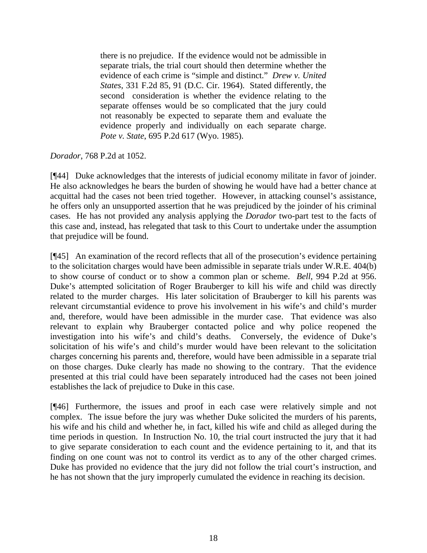there is no prejudice. If the evidence would not be admissible in separate trials, the trial court should then determine whether the evidence of each crime is "simple and distinct." *Drew v. United States*, 331 F.2d 85, 91 (D.C. Cir. 1964). Stated differently, the second consideration is whether the evidence relating to the separate offenses would be so complicated that the jury could not reasonably be expected to separate them and evaluate the evidence properly and individually on each separate charge. *Pote v. State*, 695 P.2d 617 (Wyo. 1985).

# *Dorador*, 768 P.2d at 1052.

[¶44] Duke acknowledges that the interests of judicial economy militate in favor of joinder. He also acknowledges he bears the burden of showing he would have had a better chance at acquittal had the cases not been tried together. However, in attacking counsel's assistance, he offers only an unsupported assertion that he was prejudiced by the joinder of his criminal cases. He has not provided any analysis applying the *Dorador* two-part test to the facts of this case and, instead, has relegated that task to this Court to undertake under the assumption that prejudice will be found.

[¶45] An examination of the record reflects that all of the prosecution's evidence pertaining to the solicitation charges would have been admissible in separate trials under W.R.E. 404(b) to show course of conduct or to show a common plan or scheme. *Bell*, 994 P.2d at 956. Duke's attempted solicitation of Roger Brauberger to kill his wife and child was directly related to the murder charges. His later solicitation of Brauberger to kill his parents was relevant circumstantial evidence to prove his involvement in his wife's and child's murder and, therefore, would have been admissible in the murder case. That evidence was also relevant to explain why Brauberger contacted police and why police reopened the investigation into his wife's and child's deaths. Conversely, the evidence of Duke's solicitation of his wife's and child's murder would have been relevant to the solicitation charges concerning his parents and, therefore, would have been admissible in a separate trial on those charges. Duke clearly has made no showing to the contrary. That the evidence presented at this trial could have been separately introduced had the cases not been joined establishes the lack of prejudice to Duke in this case.

[¶46] Furthermore, the issues and proof in each case were relatively simple and not complex. The issue before the jury was whether Duke solicited the murders of his parents, his wife and his child and whether he, in fact, killed his wife and child as alleged during the time periods in question. In Instruction No. 10, the trial court instructed the jury that it had to give separate consideration to each count and the evidence pertaining to it, and that its finding on one count was not to control its verdict as to any of the other charged crimes. Duke has provided no evidence that the jury did not follow the trial court's instruction, and he has not shown that the jury improperly cumulated the evidence in reaching its decision.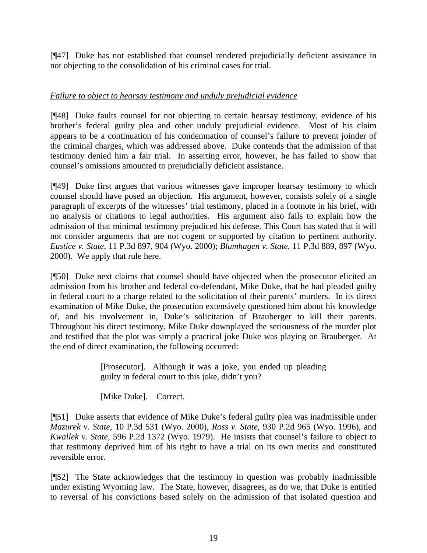[¶47] Duke has not established that counsel rendered prejudicially deficient assistance in not objecting to the consolidation of his criminal cases for trial.

# *Failure to object to hearsay testimony and unduly prejudicial evidence*

[¶48] Duke faults counsel for not objecting to certain hearsay testimony, evidence of his brother's federal guilty plea and other unduly prejudicial evidence. Most of his claim appears to be a continuation of his condemnation of counsel's failure to prevent joinder of the criminal charges, which was addressed above. Duke contends that the admission of that testimony denied him a fair trial. In asserting error, however, he has failed to show that counsel's omissions amounted to prejudicially deficient assistance.

[¶49] Duke first argues that various witnesses gave improper hearsay testimony to which counsel should have posed an objection. His argument, however, consists solely of a single paragraph of excerpts of the witnesses' trial testimony, placed in a footnote in his brief, with no analysis or citations to legal authorities. His argument also fails to explain how the admission of that minimal testimony prejudiced his defense. This Court has stated that it will not consider arguments that are not cogent or supported by citation to pertinent authority. *Eustice v. State*, 11 P.3d 897, 904 (Wyo. 2000); *Blumhagen v. State*, 11 P.3d 889, 897 (Wyo. 2000). We apply that rule here.

[¶50] Duke next claims that counsel should have objected when the prosecutor elicited an admission from his brother and federal co-defendant, Mike Duke, that he had pleaded guilty in federal court to a charge related to the solicitation of their parents' murders. In its direct examination of Mike Duke, the prosecution extensively questioned him about his knowledge of, and his involvement in, Duke's solicitation of Brauberger to kill their parents. Throughout his direct testimony, Mike Duke downplayed the seriousness of the murder plot and testified that the plot was simply a practical joke Duke was playing on Brauberger. At the end of direct examination, the following occurred:

> [Prosecutor]. Although it was a joke, you ended up pleading guilty in federal court to this joke, didn't you?

[Mike Duke]. Correct.

[¶51] Duke asserts that evidence of Mike Duke's federal guilty plea was inadmissible under *Mazurek v. State*, 10 P.3d 531 (Wyo. 2000), *Ross v. State*, 930 P.2d 965 (Wyo. 1996), and *Kwallek v. State*, 596 P.2d 1372 (Wyo. 1979). He insists that counsel's failure to object to that testimony deprived him of his right to have a trial on its own merits and constituted reversible error.

[¶52] The State acknowledges that the testimony in question was probably inadmissible under existing Wyoming law. The State, however, disagrees, as do we, that Duke is entitled to reversal of his convictions based solely on the admission of that isolated question and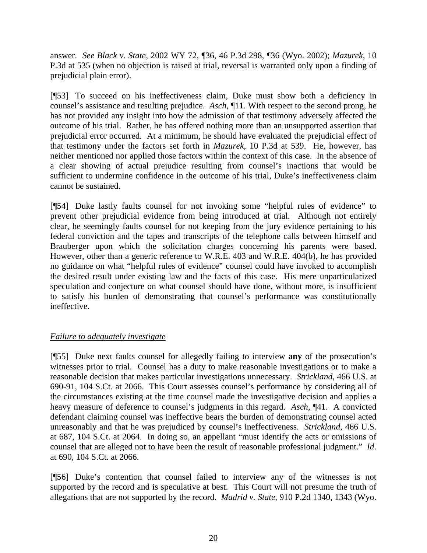answer. *See Black v. State*, 2002 WY 72, ¶36, 46 P.3d 298, ¶36 (Wyo. 2002); *Mazurek*, 10 P.3d at 535 (when no objection is raised at trial, reversal is warranted only upon a finding of prejudicial plain error).

[¶53] To succeed on his ineffectiveness claim, Duke must show both a deficiency in counsel's assistance and resulting prejudice. *Asch*, ¶11. With respect to the second prong, he has not provided any insight into how the admission of that testimony adversely affected the outcome of his trial. Rather, he has offered nothing more than an unsupported assertion that prejudicial error occurred. At a minimum, he should have evaluated the prejudicial effect of that testimony under the factors set forth in *Mazurek*, 10 P.3d at 539. He, however, has neither mentioned nor applied those factors within the context of this case. In the absence of a clear showing of actual prejudice resulting from counsel's inactions that would be sufficient to undermine confidence in the outcome of his trial, Duke's ineffectiveness claim cannot be sustained.

[¶54] Duke lastly faults counsel for not invoking some "helpful rules of evidence" to prevent other prejudicial evidence from being introduced at trial. Although not entirely clear, he seemingly faults counsel for not keeping from the jury evidence pertaining to his federal conviction and the tapes and transcripts of the telephone calls between himself and Brauberger upon which the solicitation charges concerning his parents were based. However, other than a generic reference to W.R.E. 403 and W.R.E. 404(b), he has provided no guidance on what "helpful rules of evidence" counsel could have invoked to accomplish the desired result under existing law and the facts of this case. His mere unparticularized speculation and conjecture on what counsel should have done, without more, is insufficient to satisfy his burden of demonstrating that counsel's performance was constitutionally ineffective.

# *Failure to adequately investigate*

[¶55] Duke next faults counsel for allegedly failing to interview **any** of the prosecution's witnesses prior to trial. Counsel has a duty to make reasonable investigations or to make a reasonable decision that makes particular investigations unnecessary. *Strickland*, 466 U.S. at 690-91, 104 S.Ct. at 2066. This Court assesses counsel's performance by considering all of the circumstances existing at the time counsel made the investigative decision and applies a heavy measure of deference to counsel's judgments in this regard. *Asch*, ¶41. A convicted defendant claiming counsel was ineffective bears the burden of demonstrating counsel acted unreasonably and that he was prejudiced by counsel's ineffectiveness. *Strickland*, 466 U.S. at 687, 104 S.Ct. at 2064. In doing so, an appellant "must identify the acts or omissions of counsel that are alleged not to have been the result of reasonable professional judgment." *Id*. at 690, 104 S.Ct. at 2066.

[¶56] Duke's contention that counsel failed to interview any of the witnesses is not supported by the record and is speculative at best. This Court will not presume the truth of allegations that are not supported by the record. *Madrid v. State*, 910 P.2d 1340, 1343 (Wyo.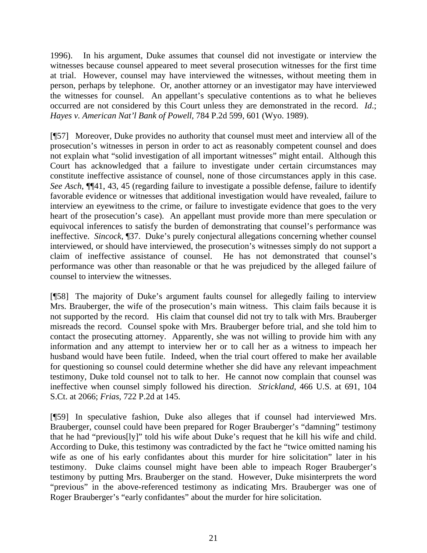1996). In his argument, Duke assumes that counsel did not investigate or interview the witnesses because counsel appeared to meet several prosecution witnesses for the first time at trial. However, counsel may have interviewed the witnesses, without meeting them in person, perhaps by telephone. Or, another attorney or an investigator may have interviewed the witnesses for counsel. An appellant's speculative contentions as to what he believes occurred are not considered by this Court unless they are demonstrated in the record. *Id*.; *Hayes v. American Nat'l Bank of Powell*, 784 P.2d 599, 601 (Wyo. 1989).

[¶57] Moreover, Duke provides no authority that counsel must meet and interview all of the prosecution's witnesses in person in order to act as reasonably competent counsel and does not explain what "solid investigation of all important witnesses" might entail. Although this Court has acknowledged that a failure to investigate under certain circumstances may constitute ineffective assistance of counsel, none of those circumstances apply in this case. *See Asch*, ¶¶41, 43, 45 (regarding failure to investigate a possible defense, failure to identify favorable evidence or witnesses that additional investigation would have revealed, failure to interview an eyewitness to the crime, or failure to investigate evidence that goes to the very heart of the prosecution's case). An appellant must provide more than mere speculation or equivocal inferences to satisfy the burden of demonstrating that counsel's performance was ineffective. *Sincock*, ¶37. Duke's purely conjectural allegations concerning whether counsel interviewed, or should have interviewed, the prosecution's witnesses simply do not support a claim of ineffective assistance of counsel. He has not demonstrated that counsel's performance was other than reasonable or that he was prejudiced by the alleged failure of counsel to interview the witnesses.

[¶58] The majority of Duke's argument faults counsel for allegedly failing to interview Mrs. Brauberger, the wife of the prosecution's main witness. This claim fails because it is not supported by the record. His claim that counsel did not try to talk with Mrs. Brauberger misreads the record. Counsel spoke with Mrs. Brauberger before trial, and she told him to contact the prosecuting attorney. Apparently, she was not willing to provide him with any information and any attempt to interview her or to call her as a witness to impeach her husband would have been futile. Indeed, when the trial court offered to make her available for questioning so counsel could determine whether she did have any relevant impeachment testimony, Duke told counsel not to talk to her. He cannot now complain that counsel was ineffective when counsel simply followed his direction. *Strickland*, 466 U.S. at 691, 104 S.Ct. at 2066; *Frias*, 722 P.2d at 145.

[¶59] In speculative fashion, Duke also alleges that if counsel had interviewed Mrs. Brauberger, counsel could have been prepared for Roger Brauberger's "damning" testimony that he had "previous[ly]" told his wife about Duke's request that he kill his wife and child. According to Duke, this testimony was contradicted by the fact he "twice omitted naming his wife as one of his early confidantes about this murder for hire solicitation" later in his testimony. Duke claims counsel might have been able to impeach Roger Brauberger's testimony by putting Mrs. Brauberger on the stand. However, Duke misinterprets the word "previous" in the above-referenced testimony as indicating Mrs. Brauberger was one of Roger Brauberger's "early confidantes" about the murder for hire solicitation.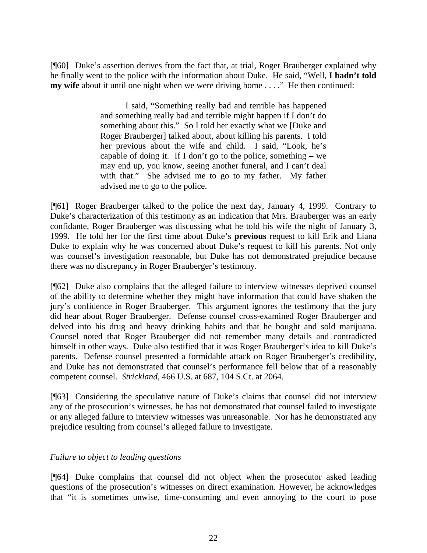[¶60] Duke's assertion derives from the fact that, at trial, Roger Brauberger explained why he finally went to the police with the information about Duke. He said, "Well, **I hadn't told my wife** about it until one night when we were driving home . . . ." He then continued:

> I said, "Something really bad and terrible has happened and something really bad and terrible might happen if I don't do something about this." So I told her exactly what we [Duke and Roger Brauberger] talked about, about killing his parents. I told her previous about the wife and child. I said, "Look, he's capable of doing it. If I don't go to the police, something  $-$  we may end up, you know, seeing another funeral, and I can't deal with that." She advised me to go to my father. My father advised me to go to the police.

[¶61] Roger Brauberger talked to the police the next day, January 4, 1999. Contrary to Duke's characterization of this testimony as an indication that Mrs. Brauberger was an early confidante, Roger Brauberger was discussing what he told his wife the night of January 3, 1999. He told her for the first time about Duke's **previous** request to kill Erik and Liana Duke to explain why he was concerned about Duke's request to kill his parents. Not only was counsel's investigation reasonable, but Duke has not demonstrated prejudice because there was no discrepancy in Roger Brauberger's testimony.

[¶62] Duke also complains that the alleged failure to interview witnesses deprived counsel of the ability to determine whether they might have information that could have shaken the jury's confidence in Roger Brauberger. This argument ignores the testimony that the jury did hear about Roger Brauberger. Defense counsel cross-examined Roger Brauberger and delved into his drug and heavy drinking habits and that he bought and sold marijuana. Counsel noted that Roger Brauberger did not remember many details and contradicted himself in other ways. Duke also testified that it was Roger Brauberger's idea to kill Duke's parents. Defense counsel presented a formidable attack on Roger Brauberger's credibility, and Duke has not demonstrated that counsel's performance fell below that of a reasonably competent counsel. *Strickland*, 466 U.S. at 687, 104 S.Ct. at 2064.

[¶63] Considering the speculative nature of Duke's claims that counsel did not interview any of the prosecution's witnesses, he has not demonstrated that counsel failed to investigate or any alleged failure to interview witnesses was unreasonable. Nor has he demonstrated any prejudice resulting from counsel's alleged failure to investigate.

# *Failure to object to leading questions*

[¶64] Duke complains that counsel did not object when the prosecutor asked leading questions of the prosecution's witnesses on direct examination. However, he acknowledges that "it is sometimes unwise, time-consuming and even annoying to the court to pose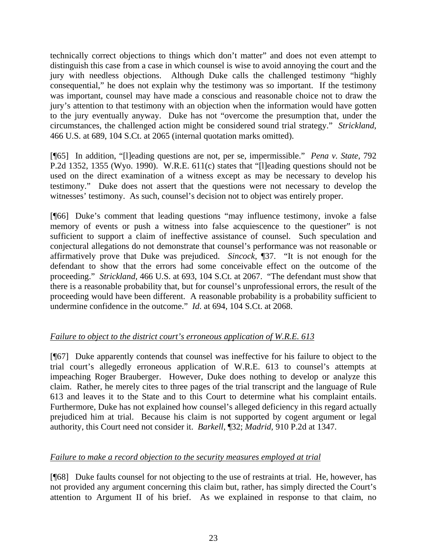technically correct objections to things which don't matter" and does not even attempt to distinguish this case from a case in which counsel is wise to avoid annoying the court and the jury with needless objections. Although Duke calls the challenged testimony "highly consequential," he does not explain why the testimony was so important. If the testimony was important, counsel may have made a conscious and reasonable choice not to draw the jury's attention to that testimony with an objection when the information would have gotten to the jury eventually anyway. Duke has not "overcome the presumption that, under the circumstances, the challenged action might be considered sound trial strategy." *Strickland*, 466 U.S. at 689, 104 S.Ct. at 2065 (internal quotation marks omitted).

[¶65] In addition, "[l]eading questions are not, per se, impermissible." *Pena v. State*, 792 P.2d 1352, 1355 (Wyo. 1990). W.R.E. 611(c) states that "[l]eading questions should not be used on the direct examination of a witness except as may be necessary to develop his testimony." Duke does not assert that the questions were not necessary to develop the witnesses' testimony. As such, counsel's decision not to object was entirely proper.

[¶66] Duke's comment that leading questions "may influence testimony, invoke a false memory of events or push a witness into false acquiescence to the questioner" is not sufficient to support a claim of ineffective assistance of counsel. Such speculation and conjectural allegations do not demonstrate that counsel's performance was not reasonable or affirmatively prove that Duke was prejudiced. *Sincock*, ¶37. "It is not enough for the defendant to show that the errors had some conceivable effect on the outcome of the proceeding." *Strickland*, 466 U.S. at 693, 104 S.Ct. at 2067. "The defendant must show that there is a reasonable probability that, but for counsel's unprofessional errors, the result of the proceeding would have been different. A reasonable probability is a probability sufficient to undermine confidence in the outcome." *Id*. at 694, 104 S.Ct. at 2068.

# *Failure to object to the district court's erroneous application of W.R.E. 613*

[¶67] Duke apparently contends that counsel was ineffective for his failure to object to the trial court's allegedly erroneous application of W.R.E. 613 to counsel's attempts at impeaching Roger Brauberger. However, Duke does nothing to develop or analyze this claim. Rather, he merely cites to three pages of the trial transcript and the language of Rule 613 and leaves it to the State and to this Court to determine what his complaint entails. Furthermore, Duke has not explained how counsel's alleged deficiency in this regard actually prejudiced him at trial. Because his claim is not supported by cogent argument or legal authority, this Court need not consider it. *Barkell*, ¶32; *Madrid*, 910 P.2d at 1347.

# *Failure to make a record objection to the security measures employed at trial*

[¶68] Duke faults counsel for not objecting to the use of restraints at trial. He, however, has not provided any argument concerning this claim but, rather, has simply directed the Court's attention to Argument II of his brief. As we explained in response to that claim, no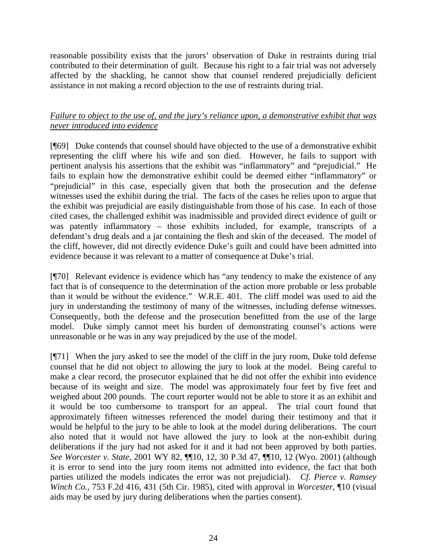reasonable possibility exists that the jurors' observation of Duke in restraints during trial contributed to their determination of guilt. Because his right to a fair trial was not adversely affected by the shackling, he cannot show that counsel rendered prejudicially deficient assistance in not making a record objection to the use of restraints during trial.

# *Failure to object to the use of, and the jury's reliance upon, a demonstrative exhibit that was never introduced into evidence*

[¶69] Duke contends that counsel should have objected to the use of a demonstrative exhibit representing the cliff where his wife and son died. However, he fails to support with pertinent analysis his assertions that the exhibit was "inflammatory" and "prejudicial." He fails to explain how the demonstrative exhibit could be deemed either "inflammatory" or "prejudicial" in this case, especially given that both the prosecution and the defense witnesses used the exhibit during the trial. The facts of the cases he relies upon to argue that the exhibit was prejudicial are easily distinguishable from those of his case. In each of those cited cases, the challenged exhibit was inadmissible and provided direct evidence of guilt or was patently inflammatory – those exhibits included, for example, transcripts of a defendant's drug deals and a jar containing the flesh and skin of the deceased. The model of the cliff, however, did not directly evidence Duke's guilt and could have been admitted into evidence because it was relevant to a matter of consequence at Duke's trial.

[¶70] Relevant evidence is evidence which has "any tendency to make the existence of any fact that is of consequence to the determination of the action more probable or less probable than it would be without the evidence." W.R.E. 401. The cliff model was used to aid the jury in understanding the testimony of many of the witnesses, including defense witnesses. Consequently, both the defense and the prosecution benefitted from the use of the large model. Duke simply cannot meet his burden of demonstrating counsel's actions were unreasonable or he was in any way prejudiced by the use of the model.

[¶71] When the jury asked to see the model of the cliff in the jury room, Duke told defense counsel that he did not object to allowing the jury to look at the model. Being careful to make a clear record, the prosecutor explained that he did not offer the exhibit into evidence because of its weight and size. The model was approximately four feet by five feet and weighed about 200 pounds. The court reporter would not be able to store it as an exhibit and it would be too cumbersome to transport for an appeal. The trial court found that approximately fifteen witnesses referenced the model during their testimony and that it would be helpful to the jury to be able to look at the model during deliberations. The court also noted that it would not have allowed the jury to look at the non-exhibit during deliberations if the jury had not asked for it and it had not been approved by both parties. *See Worcester v. State*, 2001 WY 82, ¶¶10, 12, 30 P.3d 47, ¶¶10, 12 (Wyo. 2001) (although it is error to send into the jury room items not admitted into evidence, the fact that both parties utilized the models indicates the error was not prejudicial). *Cf. Pierce v. Ramsey Winch Co.*, 753 F.2d 416, 431 (5th Cir. 1985), cited with approval in *Worcester*, ¶10 (visual aids may be used by jury during deliberations when the parties consent).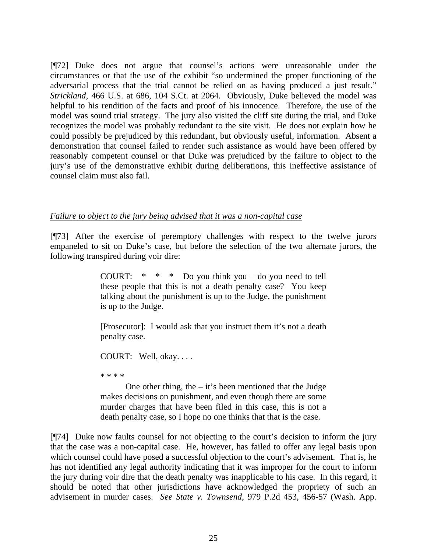[¶72] Duke does not argue that counsel's actions were unreasonable under the circumstances or that the use of the exhibit "so undermined the proper functioning of the adversarial process that the trial cannot be relied on as having produced a just result." *Strickland*, 466 U.S. at 686, 104 S.Ct. at 2064. Obviously, Duke believed the model was helpful to his rendition of the facts and proof of his innocence. Therefore, the use of the model was sound trial strategy. The jury also visited the cliff site during the trial, and Duke recognizes the model was probably redundant to the site visit. He does not explain how he could possibly be prejudiced by this redundant, but obviously useful, information. Absent a demonstration that counsel failed to render such assistance as would have been offered by reasonably competent counsel or that Duke was prejudiced by the failure to object to the jury's use of the demonstrative exhibit during deliberations, this ineffective assistance of counsel claim must also fail.

#### *Failure to object to the jury being advised that it was a non-capital case*

[¶73] After the exercise of peremptory challenges with respect to the twelve jurors empaneled to sit on Duke's case, but before the selection of the two alternate jurors, the following transpired during voir dire:

> COURT:  $* * *$  Do you think you – do you need to tell these people that this is not a death penalty case? You keep talking about the punishment is up to the Judge, the punishment is up to the Judge.

> [Prosecutor]: I would ask that you instruct them it's not a death penalty case.

COURT: Well, okay. . . .

\* \* \* \*

One other thing, the  $-$  it's been mentioned that the Judge makes decisions on punishment, and even though there are some murder charges that have been filed in this case, this is not a death penalty case, so I hope no one thinks that that is the case.

[¶74] Duke now faults counsel for not objecting to the court's decision to inform the jury that the case was a non-capital case. He, however, has failed to offer any legal basis upon which counsel could have posed a successful objection to the court's advisement. That is, he has not identified any legal authority indicating that it was improper for the court to inform the jury during voir dire that the death penalty was inapplicable to his case. In this regard, it should be noted that other jurisdictions have acknowledged the propriety of such an advisement in murder cases. *See State v. Townsend*, 979 P.2d 453, 456-57 (Wash. App.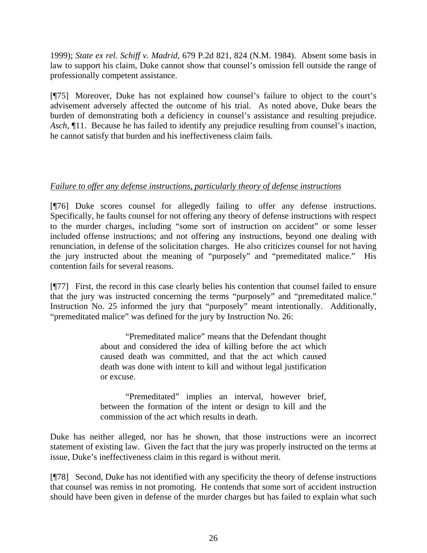1999); *State ex rel. Schiff v. Madrid*, 679 P.2d 821, 824 (N.M. 1984). Absent some basis in law to support his claim, Duke cannot show that counsel's omission fell outside the range of professionally competent assistance.

[¶75] Moreover, Duke has not explained how counsel's failure to object to the court's advisement adversely affected the outcome of his trial. As noted above, Duke bears the burden of demonstrating both a deficiency in counsel's assistance and resulting prejudice. *Asch*, ¶11. Because he has failed to identify any prejudice resulting from counsel's inaction, he cannot satisfy that burden and his ineffectiveness claim fails.

# *Failure to offer any defense instructions, particularly theory of defense instructions*

[¶76] Duke scores counsel for allegedly failing to offer any defense instructions. Specifically, he faults counsel for not offering any theory of defense instructions with respect to the murder charges, including "some sort of instruction on accident" or some lesser included offense instructions; and not offering any instructions, beyond one dealing with renunciation, in defense of the solicitation charges. He also criticizes counsel for not having the jury instructed about the meaning of "purposely" and "premeditated malice." His contention fails for several reasons.

[¶77] First, the record in this case clearly belies his contention that counsel failed to ensure that the jury was instructed concerning the terms "purposely" and "premeditated malice." Instruction No. 25 informed the jury that "purposely" meant intentionally. Additionally, "premeditated malice" was defined for the jury by Instruction No. 26:

> "Premeditated malice" means that the Defendant thought about and considered the idea of killing before the act which caused death was committed, and that the act which caused death was done with intent to kill and without legal justification or excuse.

> "Premeditated" implies an interval, however brief, between the formation of the intent or design to kill and the commission of the act which results in death.

Duke has neither alleged, nor has he shown, that those instructions were an incorrect statement of existing law. Given the fact that the jury was properly instructed on the terms at issue, Duke's ineffectiveness claim in this regard is without merit.

[¶78] Second, Duke has not identified with any specificity the theory of defense instructions that counsel was remiss in not promoting. He contends that some sort of accident instruction should have been given in defense of the murder charges but has failed to explain what such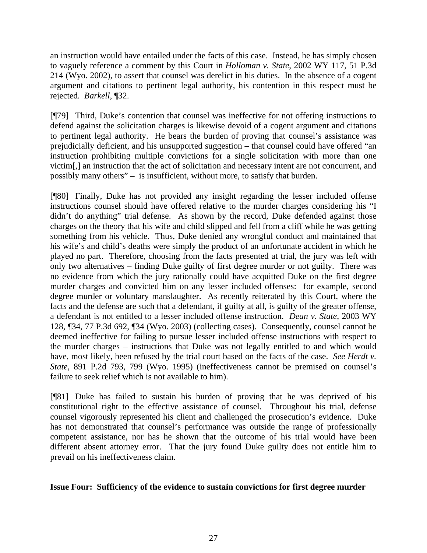an instruction would have entailed under the facts of this case. Instead, he has simply chosen to vaguely reference a comment by this Court in *Holloman v. State*, 2002 WY 117, 51 P.3d 214 (Wyo. 2002), to assert that counsel was derelict in his duties. In the absence of a cogent argument and citations to pertinent legal authority, his contention in this respect must be rejected. *Barkell*, ¶32.

[¶79] Third, Duke's contention that counsel was ineffective for not offering instructions to defend against the solicitation charges is likewise devoid of a cogent argument and citations to pertinent legal authority. He bears the burden of proving that counsel's assistance was prejudicially deficient, and his unsupported suggestion – that counsel could have offered "an instruction prohibiting multiple convictions for a single solicitation with more than one victim[,] an instruction that the act of solicitation and necessary intent are not concurrent, and possibly many others" – is insufficient, without more, to satisfy that burden.

[¶80] Finally, Duke has not provided any insight regarding the lesser included offense instructions counsel should have offered relative to the murder charges considering his "I didn't do anything" trial defense. As shown by the record, Duke defended against those charges on the theory that his wife and child slipped and fell from a cliff while he was getting something from his vehicle. Thus, Duke denied any wrongful conduct and maintained that his wife's and child's deaths were simply the product of an unfortunate accident in which he played no part. Therefore, choosing from the facts presented at trial, the jury was left with only two alternatives – finding Duke guilty of first degree murder or not guilty. There was no evidence from which the jury rationally could have acquitted Duke on the first degree murder charges and convicted him on any lesser included offenses: for example, second degree murder or voluntary manslaughter. As recently reiterated by this Court, where the facts and the defense are such that a defendant, if guilty at all, is guilty of the greater offense, a defendant is not entitled to a lesser included offense instruction. *Dean v. State*, 2003 WY 128, ¶34, 77 P.3d 692, ¶34 (Wyo. 2003) (collecting cases). Consequently, counsel cannot be deemed ineffective for failing to pursue lesser included offense instructions with respect to the murder charges – instructions that Duke was not legally entitled to and which would have, most likely, been refused by the trial court based on the facts of the case. *See Herdt v. State*, 891 P.2d 793, 799 (Wyo. 1995) (ineffectiveness cannot be premised on counsel's failure to seek relief which is not available to him).

[¶81] Duke has failed to sustain his burden of proving that he was deprived of his constitutional right to the effective assistance of counsel. Throughout his trial, defense counsel vigorously represented his client and challenged the prosecution's evidence. Duke has not demonstrated that counsel's performance was outside the range of professionally competent assistance, nor has he shown that the outcome of his trial would have been different absent attorney error. That the jury found Duke guilty does not entitle him to prevail on his ineffectiveness claim.

# **Issue Four: Sufficiency of the evidence to sustain convictions for first degree murder**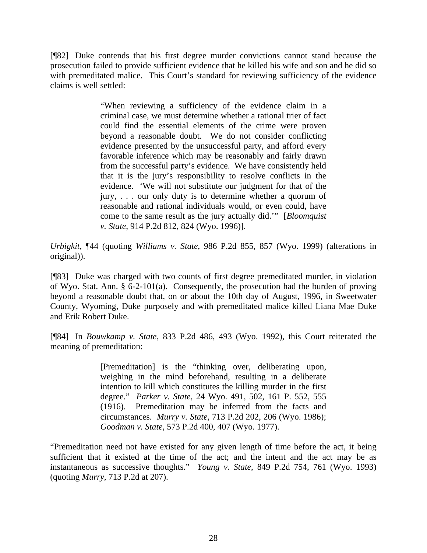[¶82] Duke contends that his first degree murder convictions cannot stand because the prosecution failed to provide sufficient evidence that he killed his wife and son and he did so with premeditated malice. This Court's standard for reviewing sufficiency of the evidence claims is well settled:

> "When reviewing a sufficiency of the evidence claim in a criminal case, we must determine whether a rational trier of fact could find the essential elements of the crime were proven beyond a reasonable doubt. We do not consider conflicting evidence presented by the unsuccessful party, and afford every favorable inference which may be reasonably and fairly drawn from the successful party's evidence. We have consistently held that it is the jury's responsibility to resolve conflicts in the evidence. 'We will not substitute our judgment for that of the jury, . . . our only duty is to determine whether a quorum of reasonable and rational individuals would, or even could, have come to the same result as the jury actually did.'" [*Bloomquist v. State*, 914 P.2d 812, 824 (Wyo. 1996)].

*Urbigkit*, ¶44 (quoting *Williams v. State*, 986 P.2d 855, 857 (Wyo. 1999) (alterations in original)).

[¶83] Duke was charged with two counts of first degree premeditated murder, in violation of Wyo. Stat. Ann. § 6-2-101(a). Consequently, the prosecution had the burden of proving beyond a reasonable doubt that, on or about the 10th day of August, 1996, in Sweetwater County, Wyoming, Duke purposely and with premeditated malice killed Liana Mae Duke and Erik Robert Duke.

[¶84] In *Bouwkamp v. State*, 833 P.2d 486, 493 (Wyo. 1992), this Court reiterated the meaning of premeditation:

> [Premeditation] is the "thinking over, deliberating upon, weighing in the mind beforehand, resulting in a deliberate intention to kill which constitutes the killing murder in the first degree." *Parker v. State*, 24 Wyo. 491, 502, 161 P. 552, 555 (1916). Premeditation may be inferred from the facts and circumstances. *Murry v. State*, 713 P.2d 202, 206 (Wyo. 1986); *Goodman v. State*, 573 P.2d 400, 407 (Wyo. 1977).

"Premeditation need not have existed for any given length of time before the act, it being sufficient that it existed at the time of the act; and the intent and the act may be as instantaneous as successive thoughts." *Young v. State*, 849 P.2d 754, 761 (Wyo. 1993) (quoting *Murry*, 713 P.2d at 207).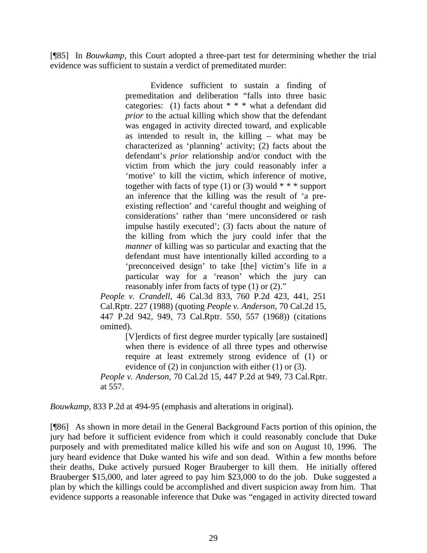[¶85] In *Bouwkamp*, this Court adopted a three-part test for determining whether the trial evidence was sufficient to sustain a verdict of premeditated murder:

> Evidence sufficient to sustain a finding of premeditation and deliberation "falls into three basic categories: (1) facts about  $* * *$  what a defendant did *prior* to the actual killing which show that the defendant was engaged in activity directed toward, and explicable as intended to result in, the killing – what may be characterized as 'planning' activity; (2) facts about the defendant's *prior* relationship and/or conduct with the victim from which the jury could reasonably infer a 'motive' to kill the victim, which inference of motive, together with facts of type  $(1)$  or  $(3)$  would  $***$  support an inference that the killing was the result of 'a preexisting reflection' and 'careful thought and weighing of considerations' rather than 'mere unconsidered or rash impulse hastily executed'; (3) facts about the nature of the killing from which the jury could infer that the *manner* of killing was so particular and exacting that the defendant must have intentionally killed according to a 'preconceived design' to take [the] victim's life in a particular way for a 'reason' which the jury can reasonably infer from facts of type (1) or (2)."

*People v. Crandell*, 46 Cal.3d 833, 760 P.2d 423, 441, 251 Cal.Rptr. 227 (1988) (quoting *People v. Anderson*, 70 Cal.2d 15, 447 P.2d 942, 949, 73 Cal.Rptr. 550, 557 (1968)) (citations omitted).

[V]erdicts of first degree murder typically [are sustained] when there is evidence of all three types and otherwise require at least extremely strong evidence of (1) or evidence of (2) in conjunction with either (1) or (3).

*People v. Anderson*, 70 Cal.2d 15, 447 P.2d at 949, 73 Cal.Rptr. at 557.

*Bouwkamp*, 833 P.2d at 494-95 (emphasis and alterations in original).

[¶86] As shown in more detail in the General Background Facts portion of this opinion, the jury had before it sufficient evidence from which it could reasonably conclude that Duke purposely and with premeditated malice killed his wife and son on August 10, 1996. The jury heard evidence that Duke wanted his wife and son dead. Within a few months before their deaths, Duke actively pursued Roger Brauberger to kill them. He initially offered Brauberger \$15,000, and later agreed to pay him \$23,000 to do the job. Duke suggested a plan by which the killings could be accomplished and divert suspicion away from him. That evidence supports a reasonable inference that Duke was "engaged in activity directed toward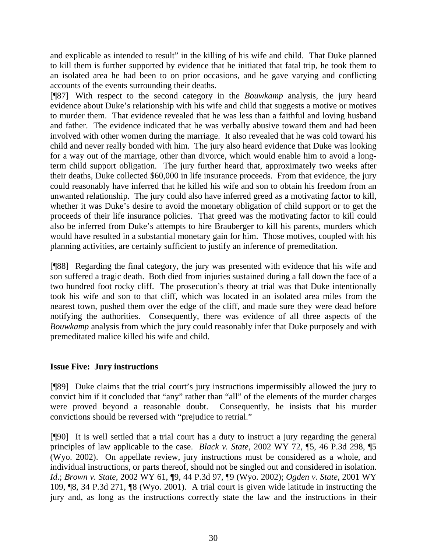and explicable as intended to result" in the killing of his wife and child. That Duke planned to kill them is further supported by evidence that he initiated that fatal trip, he took them to an isolated area he had been to on prior occasions, and he gave varying and conflicting accounts of the events surrounding their deaths.

[¶87] With respect to the second category in the *Bouwkamp* analysis, the jury heard evidence about Duke's relationship with his wife and child that suggests a motive or motives to murder them. That evidence revealed that he was less than a faithful and loving husband and father. The evidence indicated that he was verbally abusive toward them and had been involved with other women during the marriage. It also revealed that he was cold toward his child and never really bonded with him. The jury also heard evidence that Duke was looking for a way out of the marriage, other than divorce, which would enable him to avoid a longterm child support obligation. The jury further heard that, approximately two weeks after their deaths, Duke collected \$60,000 in life insurance proceeds. From that evidence, the jury could reasonably have inferred that he killed his wife and son to obtain his freedom from an unwanted relationship. The jury could also have inferred greed as a motivating factor to kill, whether it was Duke's desire to avoid the monetary obligation of child support or to get the proceeds of their life insurance policies. That greed was the motivating factor to kill could also be inferred from Duke's attempts to hire Brauberger to kill his parents, murders which would have resulted in a substantial monetary gain for him. Those motives, coupled with his planning activities, are certainly sufficient to justify an inference of premeditation.

[¶88] Regarding the final category, the jury was presented with evidence that his wife and son suffered a tragic death. Both died from injuries sustained during a fall down the face of a two hundred foot rocky cliff. The prosecution's theory at trial was that Duke intentionally took his wife and son to that cliff, which was located in an isolated area miles from the nearest town, pushed them over the edge of the cliff, and made sure they were dead before notifying the authorities. Consequently, there was evidence of all three aspects of the *Bouwkamp* analysis from which the jury could reasonably infer that Duke purposely and with premeditated malice killed his wife and child.

# **Issue Five: Jury instructions**

[¶89] Duke claims that the trial court's jury instructions impermissibly allowed the jury to convict him if it concluded that "any" rather than "all" of the elements of the murder charges were proved beyond a reasonable doubt. Consequently, he insists that his murder convictions should be reversed with "prejudice to retrial."

[¶90] It is well settled that a trial court has a duty to instruct a jury regarding the general principles of law applicable to the case. *Black v. State*, 2002 WY 72, ¶5, 46 P.3d 298, ¶5 (Wyo. 2002). On appellate review, jury instructions must be considered as a whole, and individual instructions, or parts thereof, should not be singled out and considered in isolation. *Id*.; *Brown v. State*, 2002 WY 61, ¶9, 44 P.3d 97, ¶9 (Wyo. 2002); *Ogden v. State*, 2001 WY 109, ¶8, 34 P.3d 271, ¶8 (Wyo. 2001). A trial court is given wide latitude in instructing the jury and, as long as the instructions correctly state the law and the instructions in their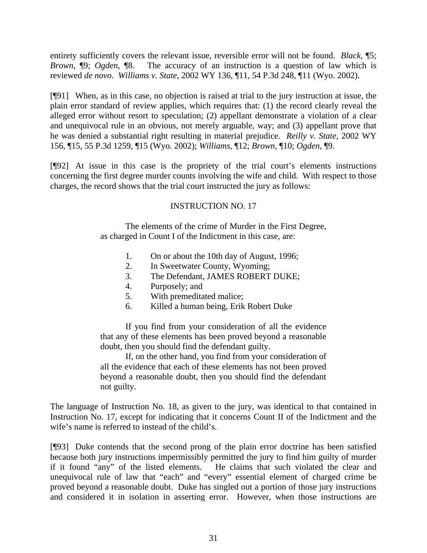entirety sufficiently covers the relevant issue, reversible error will not be found. *Black*, ¶5; *Brown*, ¶9; *Ogden*, ¶8. The accuracy of an instruction is a question of law which is reviewed *de novo*. *Williams v. State*, 2002 WY 136, ¶11, 54 P.3d 248, ¶11 (Wyo. 2002).

[¶91] When, as in this case, no objection is raised at trial to the jury instruction at issue, the plain error standard of review applies, which requires that: (1) the record clearly reveal the alleged error without resort to speculation; (2) appellant demonstrate a violation of a clear and unequivocal rule in an obvious, not merely arguable, way; and (3) appellant prove that he was denied a substantial right resulting in material prejudice. *Reilly v. State*, 2002 WY 156, ¶15, 55 P.3d 1259, ¶15 (Wyo. 2002); *Williams*, ¶12; *Brown*, ¶10; *Ogden*, ¶9.

[¶92] At issue in this case is the propriety of the trial court's elements instructions concerning the first degree murder counts involving the wife and child. With respect to those charges, the record shows that the trial court instructed the jury as follows:

# INSTRUCTION NO. 17

The elements of the crime of Murder in the First Degree, as charged in Count I of the Indictment in this case, are:

- 1. On or about the 10th day of August, 1996;
- 2. In Sweetwater County, Wyoming;
- 3. The Defendant, JAMES ROBERT DUKE;
- 4. Purposely; and
- 5. With premeditated malice;
- 6. Killed a human being, Erik Robert Duke

If you find from your consideration of all the evidence that any of these elements has been proved beyond a reasonable doubt, then you should find the defendant guilty.

If, on the other hand, you find from your consideration of all the evidence that each of these elements has not been proved beyond a reasonable doubt, then you should find the defendant not guilty.

The language of Instruction No. 18, as given to the jury, was identical to that contained in Instruction No. 17, except for indicating that it concerns Count II of the Indictment and the wife's name is referred to instead of the child's.

[¶93] Duke contends that the second prong of the plain error doctrine has been satisfied because both jury instructions impermissibly permitted the jury to find him guilty of murder if it found "any" of the listed elements. He claims that such violated the clear and unequivocal rule of law that "each" and "every" essential element of charged crime be proved beyond a reasonable doubt. Duke has singled out a portion of those jury instructions and considered it in isolation in asserting error. However, when those instructions are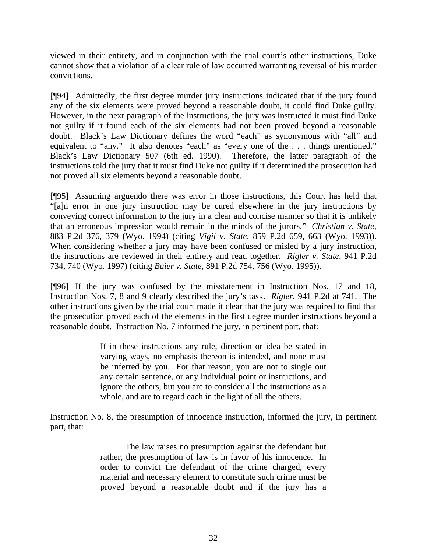viewed in their entirety, and in conjunction with the trial court's other instructions, Duke cannot show that a violation of a clear rule of law occurred warranting reversal of his murder convictions.

[¶94] Admittedly, the first degree murder jury instructions indicated that if the jury found any of the six elements were proved beyond a reasonable doubt, it could find Duke guilty. However, in the next paragraph of the instructions, the jury was instructed it must find Duke not guilty if it found each of the six elements had not been proved beyond a reasonable doubt. Black's Law Dictionary defines the word "each" as synonymous with "all" and equivalent to "any." It also denotes "each" as "every one of the . . . things mentioned." Black's Law Dictionary 507 (6th ed. 1990). Therefore, the latter paragraph of the instructions told the jury that it must find Duke not guilty if it determined the prosecution had not proved all six elements beyond a reasonable doubt.

[¶95] Assuming arguendo there was error in those instructions, this Court has held that "[a]n error in one jury instruction may be cured elsewhere in the jury instructions by conveying correct information to the jury in a clear and concise manner so that it is unlikely that an erroneous impression would remain in the minds of the jurors." *Christian v. State*, 883 P.2d 376, 379 (Wyo. 1994) (citing *Vigil v. State*, 859 P.2d 659, 663 (Wyo. 1993)). When considering whether a jury may have been confused or misled by a jury instruction, the instructions are reviewed in their entirety and read together. *Rigler v. State*, 941 P.2d 734, 740 (Wyo. 1997) (citing *Baier v. State*, 891 P.2d 754, 756 (Wyo. 1995)).

[¶96] If the jury was confused by the misstatement in Instruction Nos. 17 and 18, Instruction Nos. 7, 8 and 9 clearly described the jury's task. *Rigler*, 941 P.2d at 741. The other instructions given by the trial court made it clear that the jury was required to find that the prosecution proved each of the elements in the first degree murder instructions beyond a reasonable doubt. Instruction No. 7 informed the jury, in pertinent part, that:

> If in these instructions any rule, direction or idea be stated in varying ways, no emphasis thereon is intended, and none must be inferred by you. For that reason, you are not to single out any certain sentence, or any individual point or instructions, and ignore the others, but you are to consider all the instructions as a whole, and are to regard each in the light of all the others.

Instruction No. 8, the presumption of innocence instruction, informed the jury, in pertinent part, that:

> The law raises no presumption against the defendant but rather, the presumption of law is in favor of his innocence. In order to convict the defendant of the crime charged, every material and necessary element to constitute such crime must be proved beyond a reasonable doubt and if the jury has a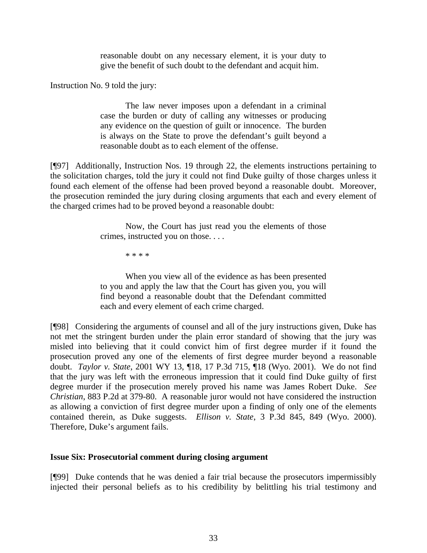reasonable doubt on any necessary element, it is your duty to give the benefit of such doubt to the defendant and acquit him.

Instruction No. 9 told the jury:

The law never imposes upon a defendant in a criminal case the burden or duty of calling any witnesses or producing any evidence on the question of guilt or innocence. The burden is always on the State to prove the defendant's guilt beyond a reasonable doubt as to each element of the offense.

[¶97] Additionally, Instruction Nos. 19 through 22, the elements instructions pertaining to the solicitation charges, told the jury it could not find Duke guilty of those charges unless it found each element of the offense had been proved beyond a reasonable doubt. Moreover, the prosecution reminded the jury during closing arguments that each and every element of the charged crimes had to be proved beyond a reasonable doubt:

> Now, the Court has just read you the elements of those crimes, instructed you on those. . . .

> > \* \* \* \*

When you view all of the evidence as has been presented to you and apply the law that the Court has given you, you will find beyond a reasonable doubt that the Defendant committed each and every element of each crime charged.

[¶98] Considering the arguments of counsel and all of the jury instructions given, Duke has not met the stringent burden under the plain error standard of showing that the jury was misled into believing that it could convict him of first degree murder if it found the prosecution proved any one of the elements of first degree murder beyond a reasonable doubt. *Taylor v. State*, 2001 WY 13, ¶18, 17 P.3d 715, ¶18 (Wyo. 2001). We do not find that the jury was left with the erroneous impression that it could find Duke guilty of first degree murder if the prosecution merely proved his name was James Robert Duke. *See Christian*, 883 P.2d at 379-80. A reasonable juror would not have considered the instruction as allowing a conviction of first degree murder upon a finding of only one of the elements contained therein, as Duke suggests. *Ellison v. State*, 3 P.3d 845, 849 (Wyo. 2000). Therefore, Duke's argument fails.

# **Issue Six: Prosecutorial comment during closing argument**

[¶99] Duke contends that he was denied a fair trial because the prosecutors impermissibly injected their personal beliefs as to his credibility by belittling his trial testimony and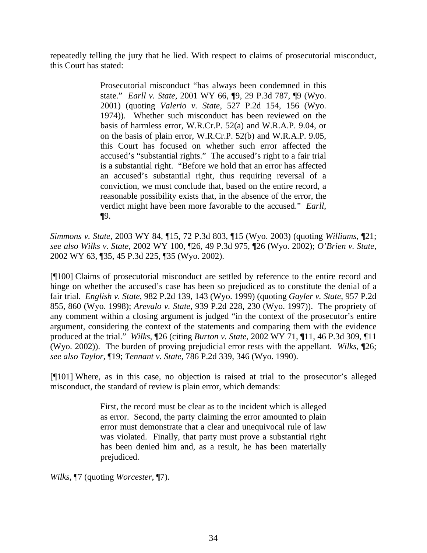repeatedly telling the jury that he lied. With respect to claims of prosecutorial misconduct, this Court has stated:

> Prosecutorial misconduct "has always been condemned in this state." *Earll v. State*, 2001 WY 66, ¶9, 29 P.3d 787, ¶9 (Wyo. 2001) (quoting *Valerio v. State*, 527 P.2d 154, 156 (Wyo. 1974)). Whether such misconduct has been reviewed on the basis of harmless error, W.R.Cr.P. 52(a) and W.R.A.P. 9.04, or on the basis of plain error, W.R.Cr.P. 52(b) and W.R.A.P. 9.05, this Court has focused on whether such error affected the accused's "substantial rights." The accused's right to a fair trial is a substantial right. "Before we hold that an error has affected an accused's substantial right, thus requiring reversal of a conviction, we must conclude that, based on the entire record, a reasonable possibility exists that, in the absence of the error, the verdict might have been more favorable to the accused." *Earll*, ¶9.

*Simmons v. State*, 2003 WY 84, ¶15, 72 P.3d 803, ¶15 (Wyo. 2003) (quoting *Williams*, ¶21; *see also Wilks v. State*, 2002 WY 100, ¶26, 49 P.3d 975, ¶26 (Wyo. 2002); *O'Brien v. State*, 2002 WY 63, ¶35, 45 P.3d 225, ¶35 (Wyo. 2002).

[¶100] Claims of prosecutorial misconduct are settled by reference to the entire record and hinge on whether the accused's case has been so prejudiced as to constitute the denial of a fair trial. *English v. State*, 982 P.2d 139, 143 (Wyo. 1999) (quoting *Gayler v. State*, 957 P.2d 855, 860 (Wyo. 1998); *Arevalo v. State*, 939 P.2d 228, 230 (Wyo. 1997)). The propriety of any comment within a closing argument is judged "in the context of the prosecutor's entire argument, considering the context of the statements and comparing them with the evidence produced at the trial." *Wilks,* ¶26 (citing *Burton v. State,* 2002 WY 71, ¶11, 46 P.3d 309, ¶11 (Wyo. 2002)). The burden of proving prejudicial error rests with the appellant. *Wilks*, ¶26; *see also Taylor,* ¶19; *Tennant v. State*, 786 P.2d 339, 346 (Wyo. 1990).

[¶101] Where, as in this case, no objection is raised at trial to the prosecutor's alleged misconduct, the standard of review is plain error, which demands:

> First, the record must be clear as to the incident which is alleged as error. Second, the party claiming the error amounted to plain error must demonstrate that a clear and unequivocal rule of law was violated. Finally, that party must prove a substantial right has been denied him and, as a result, he has been materially prejudiced.

*Wilks*, ¶7 (quoting *Worcester*, ¶7).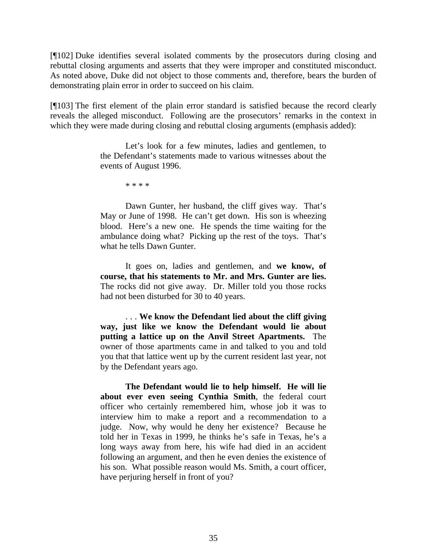[¶102] Duke identifies several isolated comments by the prosecutors during closing and rebuttal closing arguments and asserts that they were improper and constituted misconduct. As noted above, Duke did not object to those comments and, therefore, bears the burden of demonstrating plain error in order to succeed on his claim.

[¶103] The first element of the plain error standard is satisfied because the record clearly reveals the alleged misconduct. Following are the prosecutors' remarks in the context in which they were made during closing and rebuttal closing arguments (emphasis added):

> Let's look for a few minutes, ladies and gentlemen, to the Defendant's statements made to various witnesses about the events of August 1996.

> > \* \* \* \*

Dawn Gunter, her husband, the cliff gives way. That's May or June of 1998. He can't get down. His son is wheezing blood. Here's a new one. He spends the time waiting for the ambulance doing what? Picking up the rest of the toys. That's what he tells Dawn Gunter.

It goes on, ladies and gentlemen, and **we know, of course, that his statements to Mr. and Mrs. Gunter are lies.** The rocks did not give away. Dr. Miller told you those rocks had not been disturbed for 30 to 40 years.

. . . **We know the Defendant lied about the cliff giving way, just like we know the Defendant would lie about putting a lattice up on the Anvil Street Apartments.** The owner of those apartments came in and talked to you and told you that that lattice went up by the current resident last year, not by the Defendant years ago.

**The Defendant would lie to help himself. He will lie about ever even seeing Cynthia Smith**, the federal court officer who certainly remembered him, whose job it was to interview him to make a report and a recommendation to a judge. Now, why would he deny her existence? Because he told her in Texas in 1999, he thinks he's safe in Texas, he's a long ways away from here, his wife had died in an accident following an argument, and then he even denies the existence of his son. What possible reason would Ms. Smith, a court officer, have perjuring herself in front of you?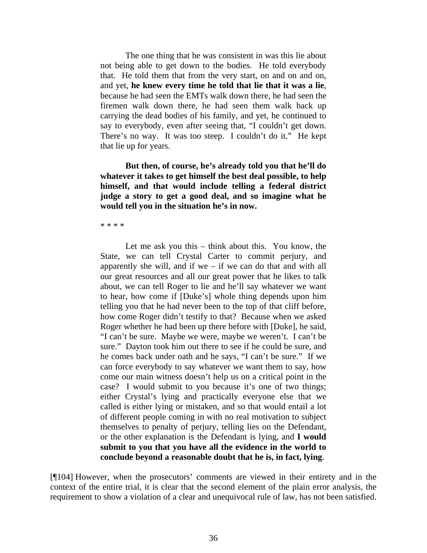The one thing that he was consistent in was this lie about not being able to get down to the bodies. He told everybody that. He told them that from the very start, on and on and on, and yet, **he knew every time he told that lie that it was a lie**, because he had seen the EMTs walk down there, he had seen the firemen walk down there, he had seen them walk back up carrying the dead bodies of his family, and yet, he continued to say to everybody, even after seeing that, "I couldn't get down. There's no way. It was too steep. I couldn't do it." He kept that lie up for years.

**But then, of course, he's already told you that he'll do whatever it takes to get himself the best deal possible, to help himself, and that would include telling a federal district judge a story to get a good deal, and so imagine what he would tell you in the situation he's in now.**

\* \* \* \*

Let me ask you this – think about this. You know, the State, we can tell Crystal Carter to commit perjury, and apparently she will, and if we – if we can do that and with all our great resources and all our great power that he likes to talk about, we can tell Roger to lie and he'll say whatever we want to hear, how come if [Duke's] whole thing depends upon him telling you that he had never been to the top of that cliff before, how come Roger didn't testify to that? Because when we asked Roger whether he had been up there before with [Duke], he said, "I can't be sure. Maybe we were, maybe we weren't. I can't be sure." Dayton took him out there to see if he could be sure, and he comes back under oath and he says, "I can't be sure." If we can force everybody to say whatever we want them to say, how come our main witness doesn't help us on a critical point in the case? I would submit to you because it's one of two things; either Crystal's lying and practically everyone else that we called is either lying or mistaken, and so that would entail a lot of different people coming in with no real motivation to subject themselves to penalty of perjury, telling lies on the Defendant, or the other explanation is the Defendant is lying, and **I would submit to you that you have all the evidence in the world to conclude beyond a reasonable doubt that he is, in fact, lying**.

[¶104] However, when the prosecutors' comments are viewed in their entirety and in the context of the entire trial, it is clear that the second element of the plain error analysis, the requirement to show a violation of a clear and unequivocal rule of law, has not been satisfied.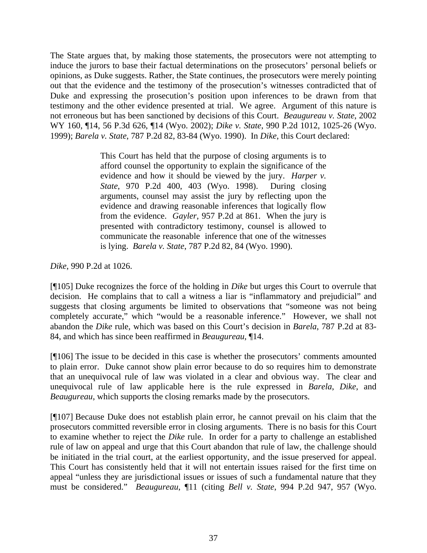The State argues that, by making those statements, the prosecutors were not attempting to induce the jurors to base their factual determinations on the prosecutors' personal beliefs or opinions, as Duke suggests. Rather, the State continues, the prosecutors were merely pointing out that the evidence and the testimony of the prosecution's witnesses contradicted that of Duke and expressing the prosecution's position upon inferences to be drawn from that testimony and the other evidence presented at trial. We agree. Argument of this nature is not erroneous but has been sanctioned by decisions of this Court. *Beaugureau v. State*, 2002 WY 160, ¶14, 56 P.3d 626, ¶14 (Wyo. 2002); *Dike v. State*, 990 P.2d 1012, 1025-26 (Wyo. 1999); *Barela v. State*, 787 P.2d 82, 83-84 (Wyo. 1990). In *Dike*, this Court declared:

> This Court has held that the purpose of closing arguments is to afford counsel the opportunity to explain the significance of the evidence and how it should be viewed by the jury. *Harper v. State*, 970 P.2d 400, 403 (Wyo. 1998). During closing arguments, counsel may assist the jury by reflecting upon the evidence and drawing reasonable inferences that logically flow from the evidence. *Gayler*, 957 P.2d at 861. When the jury is presented with contradictory testimony, counsel is allowed to communicate the reasonable inference that one of the witnesses is lying. *Barela v. State*, 787 P.2d 82, 84 (Wyo. 1990).

*Dike*, 990 P.2d at 1026.

[¶105] Duke recognizes the force of the holding in *Dike* but urges this Court to overrule that decision. He complains that to call a witness a liar is "inflammatory and prejudicial" and suggests that closing arguments be limited to observations that "someone was not being completely accurate," which "would be a reasonable inference." However, we shall not abandon the *Dike* rule, which was based on this Court's decision in *Barela*, 787 P.2d at 83- 84, and which has since been reaffirmed in *Beaugureau*, ¶14.

[¶106] The issue to be decided in this case is whether the prosecutors' comments amounted to plain error. Duke cannot show plain error because to do so requires him to demonstrate that an unequivocal rule of law was violated in a clear and obvious way. The clear and unequivocal rule of law applicable here is the rule expressed in *Barela*, *Dike*, and *Beaugureau*, which supports the closing remarks made by the prosecutors.

[¶107] Because Duke does not establish plain error, he cannot prevail on his claim that the prosecutors committed reversible error in closing arguments. There is no basis for this Court to examine whether to reject the *Dike* rule. In order for a party to challenge an established rule of law on appeal and urge that this Court abandon that rule of law, the challenge should be initiated in the trial court, at the earliest opportunity, and the issue preserved for appeal. This Court has consistently held that it will not entertain issues raised for the first time on appeal "unless they are jurisdictional issues or issues of such a fundamental nature that they must be considered." *Beaugureau*, ¶11 (citing *Bell v. State*, 994 P.2d 947, 957 (Wyo.